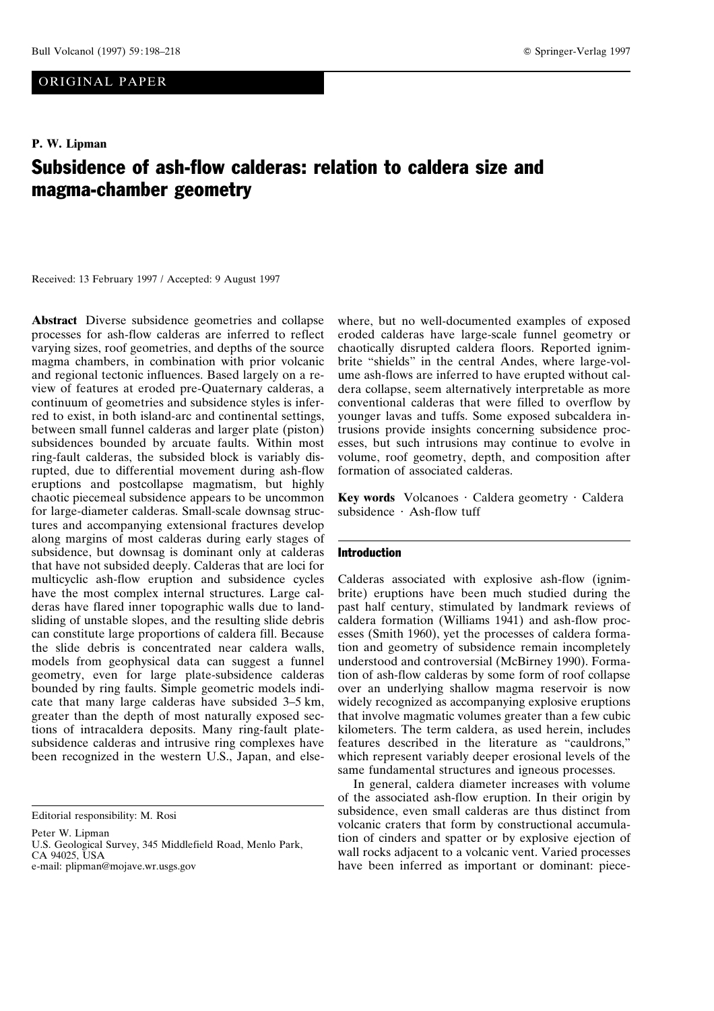# ORIGINAL PAPER

# **P. W. Lipman**

# Subsidence of ash-flow calderas: relation to caldera size and magma-chamber geometry

Received: 13 February 1997 / Accepted: 9 August 1997

**Abstract** Diverse subsidence geometries and collapse processes for ash-flow calderas are inferred to reflect varying sizes, roof geometries, and depths of the source magma chambers, in combination with prior volcanic and regional tectonic influences. Based largely on a review of features at eroded pre-Quaternary calderas, a continuum of geometries and subsidence styles is inferred to exist, in both island-arc and continental settings, between small funnel calderas and larger plate (piston) subsidences bounded by arcuate faults. Within most ring-fault calderas, the subsided block is variably disrupted, due to differential movement during ash-flow eruptions and postcollapse magmatism, but highly chaotic piecemeal subsidence appears to be uncommon for large-diameter calderas. Small-scale downsag structures and accompanying extensional fractures develop along margins of most calderas during early stages of subsidence, but downsag is dominant only at calderas that have not subsided deeply. Calderas that are loci for multicyclic ash-flow eruption and subsidence cycles have the most complex internal structures. Large calderas have flared inner topographic walls due to landsliding of unstable slopes, and the resulting slide debris can constitute large proportions of caldera fill. Because the slide debris is concentrated near caldera walls, models from geophysical data can suggest a funnel geometry, even for large plate-subsidence calderas bounded by ring faults. Simple geometric models indicate that many large calderas have subsided 3–5 km, greater than the depth of most naturally exposed sections of intracaldera deposits. Many ring-fault platesubsidence calderas and intrusive ring complexes have been recognized in the western U.S., Japan, and else-

Peter W. Lipman

e-mail: plipman@mojave.wr.usgs.gov

where, but no well-documented examples of exposed eroded calderas have large-scale funnel geometry or chaotically disrupted caldera floors. Reported ignimbrite "shields" in the central Andes, where large-volume ash-flows are inferred to have erupted without caldera collapse, seem alternatively interpretable as more conventional calderas that were filled to overflow by younger lavas and tuffs. Some exposed subcaldera intrusions provide insights concerning subsidence processes, but such intrusions may continue to evolve in volume, roof geometry, depth, and composition after formation of associated calderas.

**Key words** Volcanoes  $\cdot$  Caldera geometry  $\cdot$  Caldera subsidence · Ash-flow tuff

# Introduction

Calderas associated with explosive ash-flow (ignimbrite) eruptions have been much studied during the past half century, stimulated by landmark reviews of caldera formation (Williams 1941) and ash-flow processes (Smith 1960), yet the processes of caldera formation and geometry of subsidence remain incompletely understood and controversial (McBirney 1990). Formation of ash-flow calderas by some form of roof collapse over an underlying shallow magma reservoir is now widely recognized as accompanying explosive eruptions that involve magmatic volumes greater than a few cubic kilometers. The term caldera, as used herein, includes features described in the literature as "cauldrons," which represent variably deeper erosional levels of the same fundamental structures and igneous processes.

In general, caldera diameter increases with volume of the associated ash-flow eruption. In their origin by subsidence, even small calderas are thus distinct from volcanic craters that form by constructional accumulation of cinders and spatter or by explosive ejection of wall rocks adjacent to a volcanic vent. Varied processes have been inferred as important or dominant: piece-

Editorial responsibility: M. Rosi

U.S. Geological Survey, 345 Middlefield Road, Menlo Park, CA 94025, USA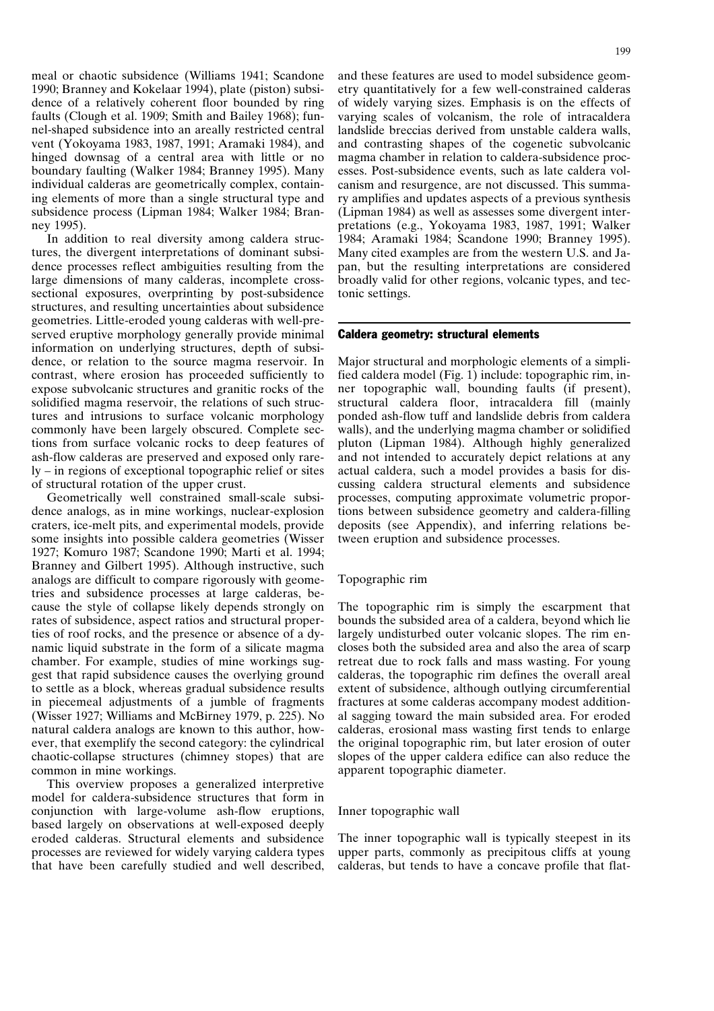meal or chaotic subsidence (Williams 1941; Scandone 1990; Branney and Kokelaar 1994), plate (piston) subsidence of a relatively coherent floor bounded by ring faults (Clough et al. 1909; Smith and Bailey 1968); funnel-shaped subsidence into an areally restricted central vent (Yokoyama 1983, 1987, 1991; Aramaki 1984), and hinged downsag of a central area with little or no boundary faulting (Walker 1984; Branney 1995). Many individual calderas are geometrically complex, containing elements of more than a single structural type and subsidence process (Lipman 1984; Walker 1984; Branney 1995).

In addition to real diversity among caldera structures, the divergent interpretations of dominant subsidence processes reflect ambiguities resulting from the large dimensions of many calderas, incomplete crosssectional exposures, overprinting by post-subsidence structures, and resulting uncertainties about subsidence geometries. Little-eroded young calderas with well-preserved eruptive morphology generally provide minimal information on underlying structures, depth of subsidence, or relation to the source magma reservoir. In contrast, where erosion has proceeded sufficiently to expose subvolcanic structures and granitic rocks of the solidified magma reservoir, the relations of such structures and intrusions to surface volcanic morphology commonly have been largely obscured. Complete sections from surface volcanic rocks to deep features of ash-flow calderas are preserved and exposed only rarely – in regions of exceptional topographic relief or sites of structural rotation of the upper crust.

Geometrically well constrained small-scale subsidence analogs, as in mine workings, nuclear-explosion craters, ice-melt pits, and experimental models, provide some insights into possible caldera geometries (Wisser 1927; Komuro 1987; Scandone 1990; Marti et al. 1994; Branney and Gilbert 1995). Although instructive, such analogs are difficult to compare rigorously with geometries and subsidence processes at large calderas, because the style of collapse likely depends strongly on rates of subsidence, aspect ratios and structural properties of roof rocks, and the presence or absence of a dynamic liquid substrate in the form of a silicate magma chamber. For example, studies of mine workings suggest that rapid subsidence causes the overlying ground to settle as a block, whereas gradual subsidence results in piecemeal adjustments of a jumble of fragments (Wisser 1927; Williams and McBirney 1979, p. 225). No natural caldera analogs are known to this author, however, that exemplify the second category: the cylindrical chaotic-collapse structures (chimney stopes) that are common in mine workings.

This overview proposes a generalized interpretive model for caldera-subsidence structures that form in conjunction with large-volume ash-flow eruptions, based largely on observations at well-exposed deeply eroded calderas. Structural elements and subsidence processes are reviewed for widely varying caldera types that have been carefully studied and well described, and these features are used to model subsidence geometry quantitatively for a few well-constrained calderas of widely varying sizes. Emphasis is on the effects of varying scales of volcanism, the role of intracaldera landslide breccias derived from unstable caldera walls, and contrasting shapes of the cogenetic subvolcanic magma chamber in relation to caldera-subsidence processes. Post-subsidence events, such as late caldera volcanism and resurgence, are not discussed. This summary amplifies and updates aspects of a previous synthesis (Lipman 1984) as well as assesses some divergent interpretations (e.g., Yokoyama 1983, 1987, 1991; Walker 1984; Aramaki 1984; Scandone 1990; Branney 1995). Many cited examples are from the western U.S. and Japan, but the resulting interpretations are considered broadly valid for other regions, volcanic types, and tectonic settings.

# Caldera geometry: structural elements

Major structural and morphologic elements of a simplified caldera model (Fig. 1) include: topographic rim, inner topographic wall, bounding faults (if present), structural caldera floor, intracaldera fill (mainly ponded ash-flow tuff and landslide debris from caldera walls), and the underlying magma chamber or solidified pluton (Lipman 1984). Although highly generalized and not intended to accurately depict relations at any actual caldera, such a model provides a basis for discussing caldera structural elements and subsidence processes, computing approximate volumetric proportions between subsidence geometry and caldera-filling deposits (see Appendix), and inferring relations between eruption and subsidence processes.

#### Topographic rim

The topographic rim is simply the escarpment that bounds the subsided area of a caldera, beyond which lie largely undisturbed outer volcanic slopes. The rim encloses both the subsided area and also the area of scarp retreat due to rock falls and mass wasting. For young calderas, the topographic rim defines the overall areal extent of subsidence, although outlying circumferential fractures at some calderas accompany modest additional sagging toward the main subsided area. For eroded calderas, erosional mass wasting first tends to enlarge the original topographic rim, but later erosion of outer slopes of the upper caldera edifice can also reduce the apparent topographic diameter.

## Inner topographic wall

The inner topographic wall is typically steepest in its upper parts, commonly as precipitous cliffs at young calderas, but tends to have a concave profile that flat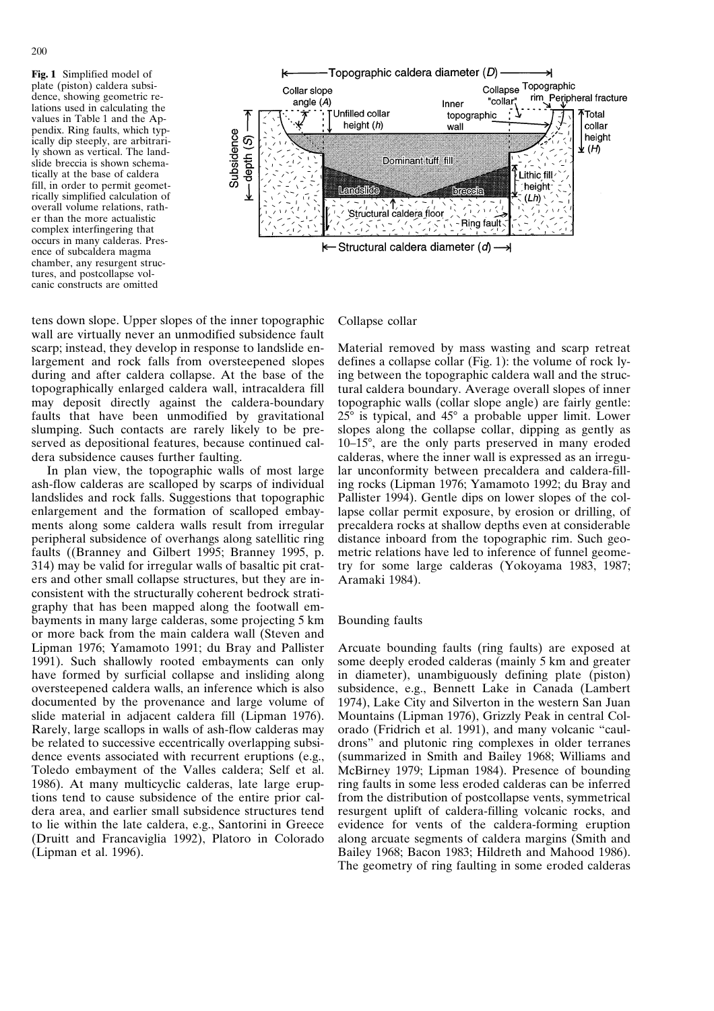**Fig. 1** Simplified model of plate (piston) caldera subsidence, showing geometric relations used in calculating the values in Table 1 and the Appendix. Ring faults, which typically dip steeply, are arbitrarily shown as vertical. The landslide breccia is shown schematically at the base of caldera fill, in order to permit geometrically simplified calculation of overall volume relations, rather than the more actualistic complex interfingering that occurs in many calderas. Presence of subcaldera magma chamber, any resurgent structures, and postcollapse volcanic constructs are omitted



tens down slope. Upper slopes of the inner topographic wall are virtually never an unmodified subsidence fault scarp; instead, they develop in response to landslide enlargement and rock falls from oversteepened slopes during and after caldera collapse. At the base of the topographically enlarged caldera wall, intracaldera fill may deposit directly against the caldera-boundary faults that have been unmodified by gravitational slumping. Such contacts are rarely likely to be preserved as depositional features, because continued caldera subsidence causes further faulting.

In plan view, the topographic walls of most large ash-flow calderas are scalloped by scarps of individual landslides and rock falls. Suggestions that topographic enlargement and the formation of scalloped embayments along some caldera walls result from irregular peripheral subsidence of overhangs along satellitic ring faults ((Branney and Gilbert 1995; Branney 1995, p. 314) may be valid for irregular walls of basaltic pit craters and other small collapse structures, but they are inconsistent with the structurally coherent bedrock stratigraphy that has been mapped along the footwall embayments in many large calderas, some projecting 5 km or more back from the main caldera wall (Steven and Lipman 1976; Yamamoto 1991; du Bray and Pallister 1991). Such shallowly rooted embayments can only have formed by surficial collapse and insliding along oversteepened caldera walls, an inference which is also documented by the provenance and large volume of slide material in adjacent caldera fill (Lipman 1976). Rarely, large scallops in walls of ash-flow calderas may be related to successive eccentrically overlapping subsidence events associated with recurrent eruptions (e.g., Toledo embayment of the Valles caldera; Self et al. 1986). At many multicyclic calderas, late large eruptions tend to cause subsidence of the entire prior caldera area, and earlier small subsidence structures tend to lie within the late caldera, e.g., Santorini in Greece (Druitt and Francaviglia 1992), Platoro in Colorado (Lipman et al. 1996).

## Collapse collar

Material removed by mass wasting and scarp retreat defines a collapse collar (Fig. 1): the volume of rock lying between the topographic caldera wall and the structural caldera boundary. Average overall slopes of inner topographic walls (collar slope angle) are fairly gentle:  $25^{\circ}$  is typical, and  $45^{\circ}$  a probable upper limit. Lower slopes along the collapse collar, dipping as gently as 10–157, are the only parts preserved in many eroded calderas, where the inner wall is expressed as an irregular unconformity between precaldera and caldera-filling rocks (Lipman 1976; Yamamoto 1992; du Bray and Pallister 1994). Gentle dips on lower slopes of the collapse collar permit exposure, by erosion or drilling, of precaldera rocks at shallow depths even at considerable distance inboard from the topographic rim. Such geometric relations have led to inference of funnel geometry for some large calderas (Yokoyama 1983, 1987; Aramaki 1984).

## Bounding faults

Arcuate bounding faults (ring faults) are exposed at some deeply eroded calderas (mainly 5 km and greater in diameter), unambiguously defining plate (piston) subsidence, e.g., Bennett Lake in Canada (Lambert 1974), Lake City and Silverton in the western San Juan Mountains (Lipman 1976), Grizzly Peak in central Colorado (Fridrich et al. 1991), and many volcanic "cauldrons" and plutonic ring complexes in older terranes (summarized in Smith and Bailey 1968; Williams and McBirney 1979; Lipman 1984). Presence of bounding ring faults in some less eroded calderas can be inferred from the distribution of postcollapse vents, symmetrical resurgent uplift of caldera-filling volcanic rocks, and evidence for vents of the caldera-forming eruption along arcuate segments of caldera margins (Smith and Bailey 1968; Bacon 1983; Hildreth and Mahood 1986). The geometry of ring faulting in some eroded calderas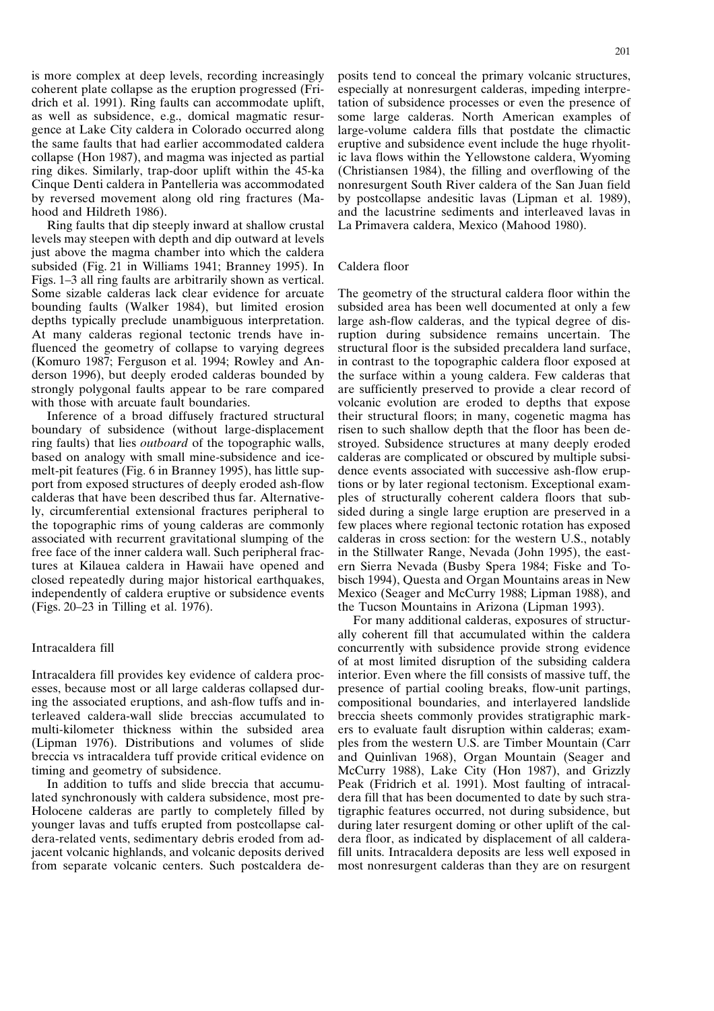is more complex at deep levels, recording increasingly coherent plate collapse as the eruption progressed (Fridrich et al. 1991). Ring faults can accommodate uplift, as well as subsidence, e.g., domical magmatic resurgence at Lake City caldera in Colorado occurred along the same faults that had earlier accommodated caldera collapse (Hon 1987), and magma was injected as partial ring dikes. Similarly, trap-door uplift within the 45-ka Cinque Denti caldera in Pantelleria was accommodated by reversed movement along old ring fractures (Mahood and Hildreth 1986).

Ring faults that dip steeply inward at shallow crustal levels may steepen with depth and dip outward at levels just above the magma chamber into which the caldera subsided (Fig. 21 in Williams 1941; Branney 1995). In Figs. 1–3 all ring faults are arbitrarily shown as vertical. Some sizable calderas lack clear evidence for arcuate bounding faults (Walker 1984), but limited erosion depths typically preclude unambiguous interpretation. At many calderas regional tectonic trends have influenced the geometry of collapse to varying degrees (Komuro 1987; Ferguson et al. 1994; Rowley and Anderson 1996), but deeply eroded calderas bounded by strongly polygonal faults appear to be rare compared with those with arcuate fault boundaries.

Inference of a broad diffusely fractured structural boundary of subsidence (without large-displacement ring faults) that lies *outboard* of the topographic walls, based on analogy with small mine-subsidence and icemelt-pit features (Fig. 6 in Branney 1995), has little support from exposed structures of deeply eroded ash-flow calderas that have been described thus far. Alternatively, circumferential extensional fractures peripheral to the topographic rims of young calderas are commonly associated with recurrent gravitational slumping of the free face of the inner caldera wall. Such peripheral fractures at Kilauea caldera in Hawaii have opened and closed repeatedly during major historical earthquakes, independently of caldera eruptive or subsidence events (Figs. 20–23 in Tilling et al. 1976).

#### Intracaldera fill

Intracaldera fill provides key evidence of caldera processes, because most or all large calderas collapsed during the associated eruptions, and ash-flow tuffs and interleaved caldera-wall slide breccias accumulated to multi-kilometer thickness within the subsided area (Lipman 1976). Distributions and volumes of slide breccia vs intracaldera tuff provide critical evidence on timing and geometry of subsidence.

In addition to tuffs and slide breccia that accumulated synchronously with caldera subsidence, most pre-Holocene calderas are partly to completely filled by younger lavas and tuffs erupted from postcollapse caldera-related vents, sedimentary debris eroded from adjacent volcanic highlands, and volcanic deposits derived from separate volcanic centers. Such postcaldera deposits tend to conceal the primary volcanic structures, especially at nonresurgent calderas, impeding interpretation of subsidence processes or even the presence of some large calderas. North American examples of large-volume caldera fills that postdate the climactic eruptive and subsidence event include the huge rhyolitic lava flows within the Yellowstone caldera, Wyoming (Christiansen 1984), the filling and overflowing of the nonresurgent South River caldera of the San Juan field by postcollapse andesitic lavas (Lipman et al. 1989), and the lacustrine sediments and interleaved lavas in La Primavera caldera, Mexico (Mahood 1980).

## Caldera floor

The geometry of the structural caldera floor within the subsided area has been well documented at only a few large ash-flow calderas, and the typical degree of disruption during subsidence remains uncertain. The structural floor is the subsided precaldera land surface, in contrast to the topographic caldera floor exposed at the surface within a young caldera. Few calderas that are sufficiently preserved to provide a clear record of volcanic evolution are eroded to depths that expose their structural floors; in many, cogenetic magma has risen to such shallow depth that the floor has been destroyed. Subsidence structures at many deeply eroded calderas are complicated or obscured by multiple subsidence events associated with successive ash-flow eruptions or by later regional tectonism. Exceptional examples of structurally coherent caldera floors that subsided during a single large eruption are preserved in a few places where regional tectonic rotation has exposed calderas in cross section: for the western U.S., notably in the Stillwater Range, Nevada (John 1995), the eastern Sierra Nevada (Busby Spera 1984; Fiske and Tobisch 1994), Questa and Organ Mountains areas in New Mexico (Seager and McCurry 1988; Lipman 1988), and the Tucson Mountains in Arizona (Lipman 1993).

For many additional calderas, exposures of structurally coherent fill that accumulated within the caldera concurrently with subsidence provide strong evidence of at most limited disruption of the subsiding caldera interior. Even where the fill consists of massive tuff, the presence of partial cooling breaks, flow-unit partings, compositional boundaries, and interlayered landslide breccia sheets commonly provides stratigraphic markers to evaluate fault disruption within calderas; examples from the western U.S. are Timber Mountain (Carr and Quinlivan 1968), Organ Mountain (Seager and McCurry 1988), Lake City (Hon 1987), and Grizzly Peak (Fridrich et al. 1991). Most faulting of intracaldera fill that has been documented to date by such stratigraphic features occurred, not during subsidence, but during later resurgent doming or other uplift of the caldera floor, as indicated by displacement of all calderafill units. Intracaldera deposits are less well exposed in most nonresurgent calderas than they are on resurgent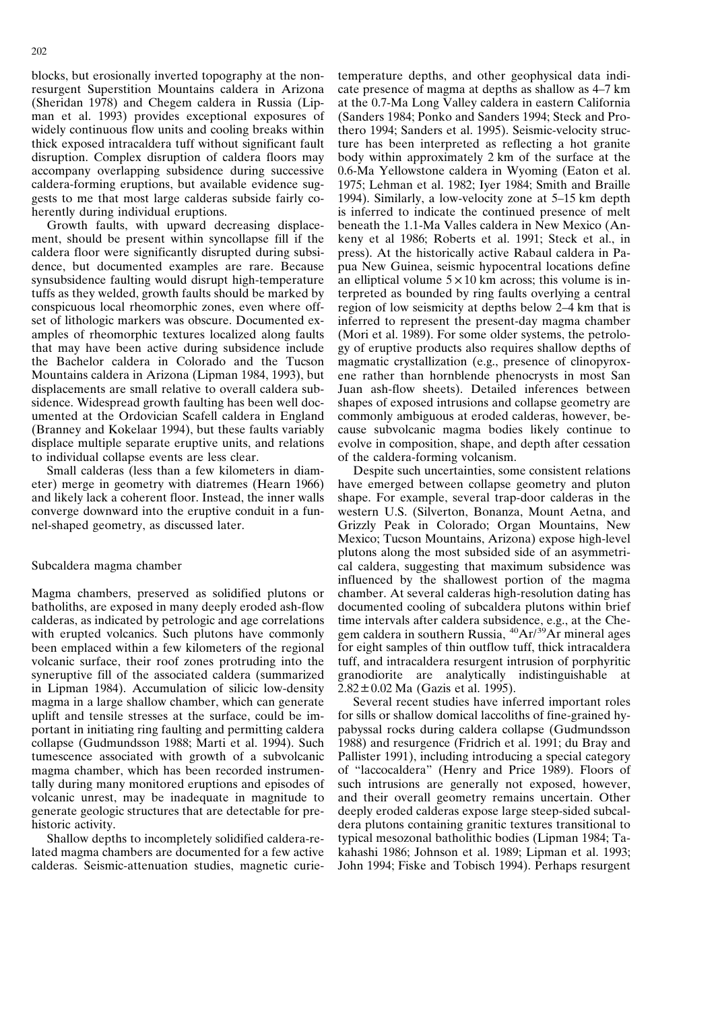blocks, but erosionally inverted topography at the nonresurgent Superstition Mountains caldera in Arizona (Sheridan 1978) and Chegem caldera in Russia (Lipman et al. 1993) provides exceptional exposures of widely continuous flow units and cooling breaks within thick exposed intracaldera tuff without significant fault disruption. Complex disruption of caldera floors may accompany overlapping subsidence during successive caldera-forming eruptions, but available evidence suggests to me that most large calderas subside fairly coherently during individual eruptions.

Growth faults, with upward decreasing displacement, should be present within syncollapse fill if the caldera floor were significantly disrupted during subsidence, but documented examples are rare. Because synsubsidence faulting would disrupt high-temperature tuffs as they welded, growth faults should be marked by conspicuous local rheomorphic zones, even where offset of lithologic markers was obscure. Documented examples of rheomorphic textures localized along faults that may have been active during subsidence include the Bachelor caldera in Colorado and the Tucson Mountains caldera in Arizona (Lipman 1984, 1993), but displacements are small relative to overall caldera subsidence. Widespread growth faulting has been well documented at the Ordovician Scafell caldera in England (Branney and Kokelaar 1994), but these faults variably displace multiple separate eruptive units, and relations to individual collapse events are less clear.

Small calderas (less than a few kilometers in diameter) merge in geometry with diatremes (Hearn 1966) and likely lack a coherent floor. Instead, the inner walls converge downward into the eruptive conduit in a funnel-shaped geometry, as discussed later.

### Subcaldera magma chamber

Magma chambers, preserved as solidified plutons or batholiths, are exposed in many deeply eroded ash-flow calderas, as indicated by petrologic and age correlations with erupted volcanics. Such plutons have commonly been emplaced within a few kilometers of the regional volcanic surface, their roof zones protruding into the syneruptive fill of the associated caldera (summarized in Lipman 1984). Accumulation of silicic low-density magma in a large shallow chamber, which can generate uplift and tensile stresses at the surface, could be important in initiating ring faulting and permitting caldera collapse (Gudmundsson 1988; Marti et al. 1994). Such tumescence associated with growth of a subvolcanic magma chamber, which has been recorded instrumentally during many monitored eruptions and episodes of volcanic unrest, may be inadequate in magnitude to generate geologic structures that are detectable for prehistoric activity.

Shallow depths to incompletely solidified caldera-related magma chambers are documented for a few active calderas. Seismic-attenuation studies, magnetic curie-

temperature depths, and other geophysical data indicate presence of magma at depths as shallow as 4–7 km at the 0.7-Ma Long Valley caldera in eastern California (Sanders 1984; Ponko and Sanders 1994; Steck and Prothero 1994; Sanders et al. 1995). Seismic-velocity structure has been interpreted as reflecting a hot granite body within approximately 2 km of the surface at the 0.6-Ma Yellowstone caldera in Wyoming (Eaton et al. 1975; Lehman et al. 1982; Iyer 1984; Smith and Braille 1994). Similarly, a low-velocity zone at 5–15 km depth is inferred to indicate the continued presence of melt beneath the 1.1-Ma Valles caldera in New Mexico (Ankeny et al 1986; Roberts et al. 1991; Steck et al., in press). At the historically active Rabaul caldera in Papua New Guinea, seismic hypocentral locations define an elliptical volume  $5 \times 10$  km across; this volume is interpreted as bounded by ring faults overlying a central region of low seismicity at depths below 2–4 km that is inferred to represent the present-day magma chamber (Mori et al. 1989). For some older systems, the petrology of eruptive products also requires shallow depths of magmatic crystallization (e.g., presence of clinopyroxene rather than hornblende phenocrysts in most San Juan ash-flow sheets). Detailed inferences between shapes of exposed intrusions and collapse geometry are commonly ambiguous at eroded calderas, however, because subvolcanic magma bodies likely continue to evolve in composition, shape, and depth after cessation of the caldera-forming volcanism.

Despite such uncertainties, some consistent relations have emerged between collapse geometry and pluton shape. For example, several trap-door calderas in the western U.S. (Silverton, Bonanza, Mount Aetna, and Grizzly Peak in Colorado; Organ Mountains, New Mexico; Tucson Mountains, Arizona) expose high-level plutons along the most subsided side of an asymmetrical caldera, suggesting that maximum subsidence was influenced by the shallowest portion of the magma chamber. At several calderas high-resolution dating has documented cooling of subcaldera plutons within brief time intervals after caldera subsidence, e.g., at the Chegem caldera in southern Russia, <sup>40</sup>Ar/<sup>39</sup>Ar mineral ages for eight samples of thin outflow tuff, thick intracaldera tuff, and intracaldera resurgent intrusion of porphyritic granodiorite are analytically indistinguishable at  $2.82 \pm 0.02$  Ma (Gazis et al. 1995).

Several recent studies have inferred important roles for sills or shallow domical laccoliths of fine-grained hypabyssal rocks during caldera collapse (Gudmundsson 1988) and resurgence (Fridrich et al. 1991; du Bray and Pallister 1991), including introducing a special category of "laccocaldera" (Henry and Price 1989). Floors of such intrusions are generally not exposed, however, and their overall geometry remains uncertain. Other deeply eroded calderas expose large steep-sided subcaldera plutons containing granitic textures transitional to typical mesozonal batholithic bodies (Lipman 1984; Takahashi 1986; Johnson et al. 1989; Lipman et al. 1993; John 1994; Fiske and Tobisch 1994). Perhaps resurgent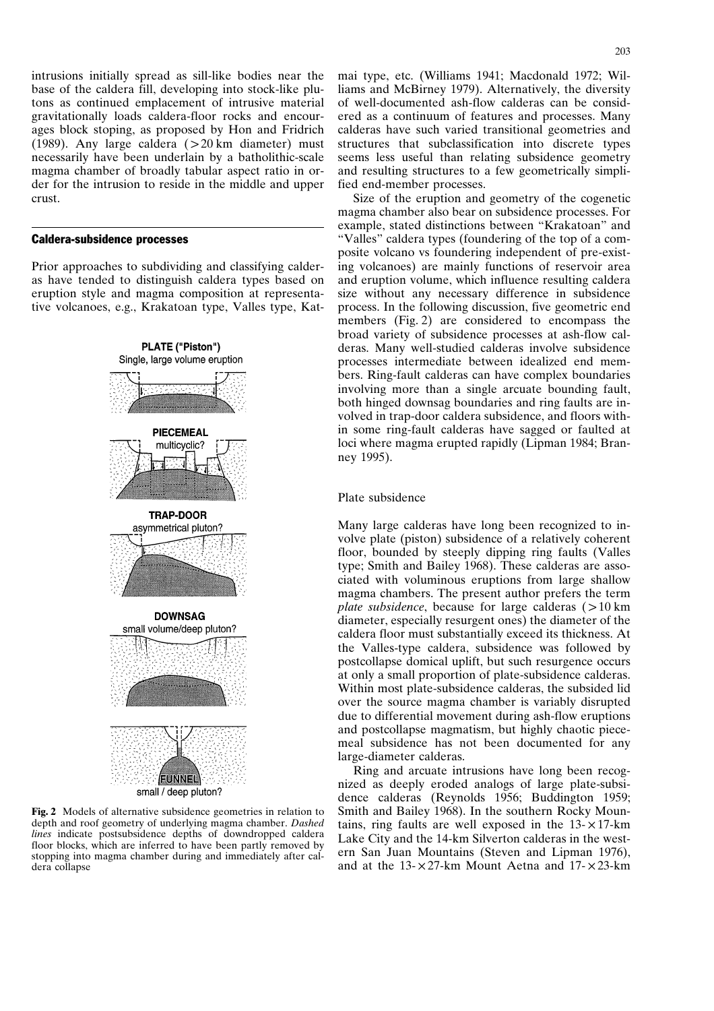intrusions initially spread as sill-like bodies near the base of the caldera fill, developing into stock-like plutons as continued emplacement of intrusive material gravitationally loads caldera-floor rocks and encourages block stoping, as proposed by Hon and Fridrich (1989). Any large caldera  $(>20 \text{ km}$  diameter) must necessarily have been underlain by a batholithic-scale magma chamber of broadly tabular aspect ratio in order for the intrusion to reside in the middle and upper crust.

## Caldera-subsidence processes

Prior approaches to subdividing and classifying calderas have tended to distinguish caldera types based on eruption style and magma composition at representative volcanoes, e.g., Krakatoan type, Valles type, Kat-



**Fig. 2** Models of alternative subsidence geometries in relation to depth and roof geometry of underlying magma chamber. *Dashed lines* indicate postsubsidence depths of downdropped caldera floor blocks, which are inferred to have been partly removed by stopping into magma chamber during and immediately after caldera collapse

mai type, etc. (Williams 1941; Macdonald 1972; Williams and McBirney 1979). Alternatively, the diversity of well-documented ash-flow calderas can be considered as a continuum of features and processes. Many calderas have such varied transitional geometries and structures that subclassification into discrete types seems less useful than relating subsidence geometry and resulting structures to a few geometrically simplified end-member processes.

Size of the eruption and geometry of the cogenetic magma chamber also bear on subsidence processes. For example, stated distinctions between "Krakatoan" and "Valles" caldera types (foundering of the top of a composite volcano vs foundering independent of pre-existing volcanoes) are mainly functions of reservoir area and eruption volume, which influence resulting caldera size without any necessary difference in subsidence process. In the following discussion, five geometric end members (Fig. 2) are considered to encompass the broad variety of subsidence processes at ash-flow calderas. Many well-studied calderas involve subsidence processes intermediate between idealized end members. Ring-fault calderas can have complex boundaries involving more than a single arcuate bounding fault, both hinged downsag boundaries and ring faults are involved in trap-door caldera subsidence, and floors within some ring-fault calderas have sagged or faulted at loci where magma erupted rapidly (Lipman 1984; Branney 1995).

## Plate subsidence

Many large calderas have long been recognized to involve plate (piston) subsidence of a relatively coherent floor, bounded by steeply dipping ring faults (Valles type; Smith and Bailey 1968). These calderas are associated with voluminous eruptions from large shallow magma chambers. The present author prefers the term *plate subsidence*, because for large calderas  $(>10 \text{ km})$ diameter, especially resurgent ones) the diameter of the caldera floor must substantially exceed its thickness. At the Valles-type caldera, subsidence was followed by postcollapse domical uplift, but such resurgence occurs at only a small proportion of plate-subsidence calderas. Within most plate-subsidence calderas, the subsided lid over the source magma chamber is variably disrupted due to differential movement during ash-flow eruptions and postcollapse magmatism, but highly chaotic piecemeal subsidence has not been documented for any large-diameter calderas.

Ring and arcuate intrusions have long been recognized as deeply eroded analogs of large plate-subsidence calderas (Reynolds 1956; Buddington 1959; Smith and Bailey 1968). In the southern Rocky Mountains, ring faults are well exposed in the  $13-x17$ -km Lake City and the 14-km Silverton calderas in the western San Juan Mountains (Steven and Lipman 1976), and at the 13- $\times$ 27-km Mount Aetna and 17- $\times$ 23-km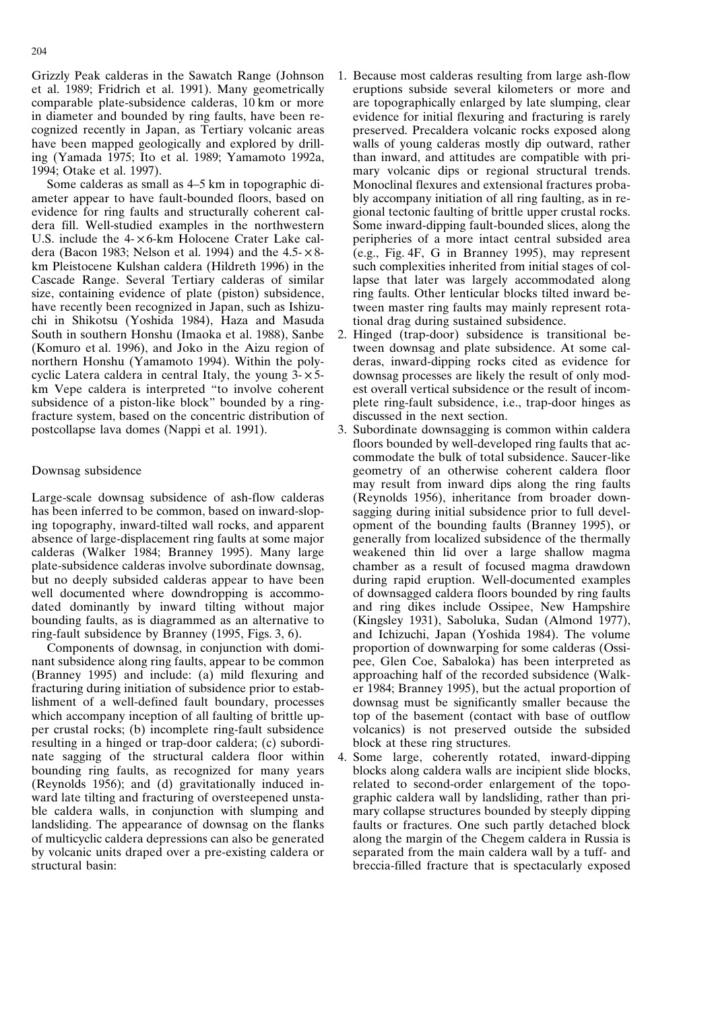Grizzly Peak calderas in the Sawatch Range (Johnson et al. 1989; Fridrich et al. 1991). Many geometrically comparable plate-subsidence calderas, 10 km or more in diameter and bounded by ring faults, have been recognized recently in Japan, as Tertiary volcanic areas have been mapped geologically and explored by drilling (Yamada 1975; Ito et al. 1989; Yamamoto 1992a, 1994; Otake et al. 1997).

Some calderas as small as 4–5 km in topographic diameter appear to have fault-bounded floors, based on evidence for ring faults and structurally coherent caldera fill. Well-studied examples in the northwestern U.S. include the  $4-x6$ -km Holocene Crater Lake caldera (Bacon 1983; Nelson et al. 1994) and the  $4.5-x8$ km Pleistocene Kulshan caldera (Hildreth 1996) in the Cascade Range. Several Tertiary calderas of similar size, containing evidence of plate (piston) subsidence, have recently been recognized in Japan, such as Ishizuchi in Shikotsu (Yoshida 1984), Haza and Masuda South in southern Honshu (Imaoka et al. 1988), Sanbe (Komuro et al. 1996), and Joko in the Aizu region of northern Honshu (Yamamoto 1994). Within the polycyclic Latera caldera in central Italy, the young  $3-x$  5km Vepe caldera is interpreted "to involve coherent subsidence of a piston-like block" bounded by a ringfracture system, based on the concentric distribution of postcollapse lava domes (Nappi et al. 1991).

# Downsag subsidence

Large-scale downsag subsidence of ash-flow calderas has been inferred to be common, based on inward-sloping topography, inward-tilted wall rocks, and apparent absence of large-displacement ring faults at some major calderas (Walker 1984; Branney 1995). Many large plate-subsidence calderas involve subordinate downsag, but no deeply subsided calderas appear to have been well documented where downdropping is accommodated dominantly by inward tilting without major bounding faults, as is diagrammed as an alternative to ring-fault subsidence by Branney (1995, Figs. 3, 6).

Components of downsag, in conjunction with dominant subsidence along ring faults, appear to be common (Branney 1995) and include: (a) mild flexuring and fracturing during initiation of subsidence prior to establishment of a well-defined fault boundary, processes which accompany inception of all faulting of brittle upper crustal rocks; (b) incomplete ring-fault subsidence resulting in a hinged or trap-door caldera; (c) subordinate sagging of the structural caldera floor within bounding ring faults, as recognized for many years (Reynolds 1956); and (d) gravitationally induced inward late tilting and fracturing of oversteepened unstable caldera walls, in conjunction with slumping and landsliding. The appearance of downsag on the flanks of multicyclic caldera depressions can also be generated by volcanic units draped over a pre-existing caldera or structural basin:

- 1. Because most calderas resulting from large ash-flow eruptions subside several kilometers or more and are topographically enlarged by late slumping, clear evidence for initial flexuring and fracturing is rarely preserved. Precaldera volcanic rocks exposed along walls of young calderas mostly dip outward, rather than inward, and attitudes are compatible with primary volcanic dips or regional structural trends. Monoclinal flexures and extensional fractures probably accompany initiation of all ring faulting, as in regional tectonic faulting of brittle upper crustal rocks. Some inward-dipping fault-bounded slices, along the peripheries of a more intact central subsided area (e.g., Fig. 4F, G in Branney 1995), may represent such complexities inherited from initial stages of collapse that later was largely accommodated along ring faults. Other lenticular blocks tilted inward between master ring faults may mainly represent rotational drag during sustained subsidence.
- 2. Hinged (trap-door) subsidence is transitional between downsag and plate subsidence. At some calderas, inward-dipping rocks cited as evidence for downsag processes are likely the result of only modest overall vertical subsidence or the result of incomplete ring-fault subsidence, i.e., trap-door hinges as discussed in the next section.
- 3. Subordinate downsagging is common within caldera floors bounded by well-developed ring faults that accommodate the bulk of total subsidence. Saucer-like geometry of an otherwise coherent caldera floor may result from inward dips along the ring faults (Reynolds 1956), inheritance from broader downsagging during initial subsidence prior to full development of the bounding faults (Branney 1995), or generally from localized subsidence of the thermally weakened thin lid over a large shallow magma chamber as a result of focused magma drawdown during rapid eruption. Well-documented examples of downsagged caldera floors bounded by ring faults and ring dikes include Ossipee, New Hampshire (Kingsley 1931), Saboluka, Sudan (Almond 1977), and Ichizuchi, Japan (Yoshida 1984). The volume proportion of downwarping for some calderas (Ossipee, Glen Coe, Sabaloka) has been interpreted as approaching half of the recorded subsidence (Walker 1984; Branney 1995), but the actual proportion of downsag must be significantly smaller because the top of the basement (contact with base of outflow volcanics) is not preserved outside the subsided block at these ring structures.

4. Some large, coherently rotated, inward-dipping blocks along caldera walls are incipient slide blocks, related to second-order enlargement of the topographic caldera wall by landsliding, rather than primary collapse structures bounded by steeply dipping faults or fractures. One such partly detached block along the margin of the Chegem caldera in Russia is separated from the main caldera wall by a tuff- and breccia-filled fracture that is spectacularly exposed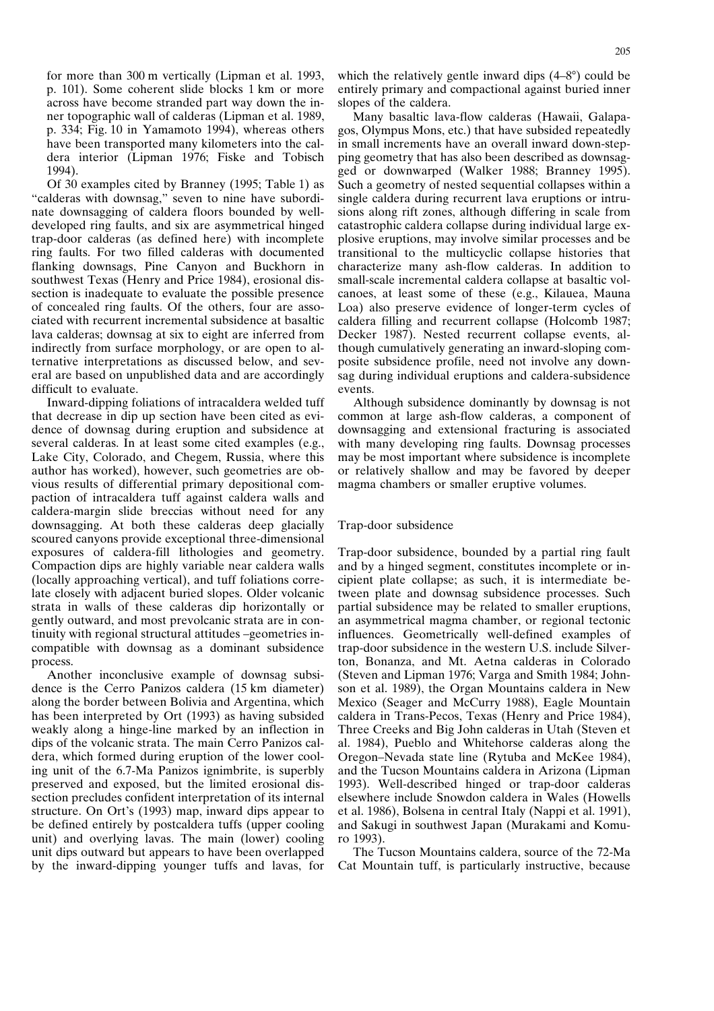for more than 300 m vertically (Lipman et al. 1993, p. 101). Some coherent slide blocks 1 km or more across have become stranded part way down the inner topographic wall of calderas (Lipman et al. 1989, p. 334; Fig. 10 in Yamamoto 1994), whereas others have been transported many kilometers into the caldera interior (Lipman 1976; Fiske and Tobisch 1994).

Of 30 examples cited by Branney (1995; Table 1) as "calderas with downsag," seven to nine have subordinate downsagging of caldera floors bounded by welldeveloped ring faults, and six are asymmetrical hinged trap-door calderas (as defined here) with incomplete ring faults. For two filled calderas with documented flanking downsags, Pine Canyon and Buckhorn in southwest Texas (Henry and Price 1984), erosional dissection is inadequate to evaluate the possible presence of concealed ring faults. Of the others, four are associated with recurrent incremental subsidence at basaltic lava calderas; downsag at six to eight are inferred from indirectly from surface morphology, or are open to alternative interpretations as discussed below, and several are based on unpublished data and are accordingly difficult to evaluate.

Inward-dipping foliations of intracaldera welded tuff that decrease in dip up section have been cited as evidence of downsag during eruption and subsidence at several calderas. In at least some cited examples (e.g., Lake City, Colorado, and Chegem, Russia, where this author has worked), however, such geometries are obvious results of differential primary depositional compaction of intracaldera tuff against caldera walls and caldera-margin slide breccias without need for any downsagging. At both these calderas deep glacially scoured canyons provide exceptional three-dimensional exposures of caldera-fill lithologies and geometry. Compaction dips are highly variable near caldera walls (locally approaching vertical), and tuff foliations correlate closely with adjacent buried slopes. Older volcanic strata in walls of these calderas dip horizontally or gently outward, and most prevolcanic strata are in continuity with regional structural attitudes –geometries incompatible with downsag as a dominant subsidence process.

Another inconclusive example of downsag subsidence is the Cerro Panizos caldera (15 km diameter) along the border between Bolivia and Argentina, which has been interpreted by Ort (1993) as having subsided weakly along a hinge-line marked by an inflection in dips of the volcanic strata. The main Cerro Panizos caldera, which formed during eruption of the lower cooling unit of the 6.7-Ma Panizos ignimbrite, is superbly preserved and exposed, but the limited erosional dissection precludes confident interpretation of its internal structure. On Ort's (1993) map, inward dips appear to be defined entirely by postcaldera tuffs (upper cooling unit) and overlying lavas. The main (lower) cooling unit dips outward but appears to have been overlapped by the inward-dipping younger tuffs and lavas, for which the relatively gentle inward dips  $(4-8^{\circ})$  could be entirely primary and compactional against buried inner slopes of the caldera.

Many basaltic lava-flow calderas (Hawaii, Galapagos, Olympus Mons, etc.) that have subsided repeatedly in small increments have an overall inward down-stepping geometry that has also been described as downsagged or downwarped (Walker 1988; Branney 1995). Such a geometry of nested sequential collapses within a single caldera during recurrent lava eruptions or intrusions along rift zones, although differing in scale from catastrophic caldera collapse during individual large explosive eruptions, may involve similar processes and be transitional to the multicyclic collapse histories that characterize many ash-flow calderas. In addition to small-scale incremental caldera collapse at basaltic volcanoes, at least some of these (e.g., Kilauea, Mauna Loa) also preserve evidence of longer-term cycles of caldera filling and recurrent collapse (Holcomb 1987; Decker 1987). Nested recurrent collapse events, although cumulatively generating an inward-sloping composite subsidence profile, need not involve any downsag during individual eruptions and caldera-subsidence events.

Although subsidence dominantly by downsag is not common at large ash-flow calderas, a component of downsagging and extensional fracturing is associated with many developing ring faults. Downsag processes may be most important where subsidence is incomplete or relatively shallow and may be favored by deeper magma chambers or smaller eruptive volumes.

#### Trap-door subsidence

Trap-door subsidence, bounded by a partial ring fault and by a hinged segment, constitutes incomplete or incipient plate collapse; as such, it is intermediate between plate and downsag subsidence processes. Such partial subsidence may be related to smaller eruptions, an asymmetrical magma chamber, or regional tectonic influences. Geometrically well-defined examples of trap-door subsidence in the western U.S. include Silverton, Bonanza, and Mt. Aetna calderas in Colorado (Steven and Lipman 1976; Varga and Smith 1984; Johnson et al. 1989), the Organ Mountains caldera in New Mexico (Seager and McCurry 1988), Eagle Mountain caldera in Trans-Pecos, Texas (Henry and Price 1984), Three Creeks and Big John calderas in Utah (Steven et al. 1984), Pueblo and Whitehorse calderas along the Oregon–Nevada state line (Rytuba and McKee 1984), and the Tucson Mountains caldera in Arizona (Lipman 1993). Well-described hinged or trap-door calderas elsewhere include Snowdon caldera in Wales (Howells et al. 1986), Bolsena in central Italy (Nappi et al. 1991), and Sakugi in southwest Japan (Murakami and Komuro 1993).

The Tucson Mountains caldera, source of the 72-Ma Cat Mountain tuff, is particularly instructive, because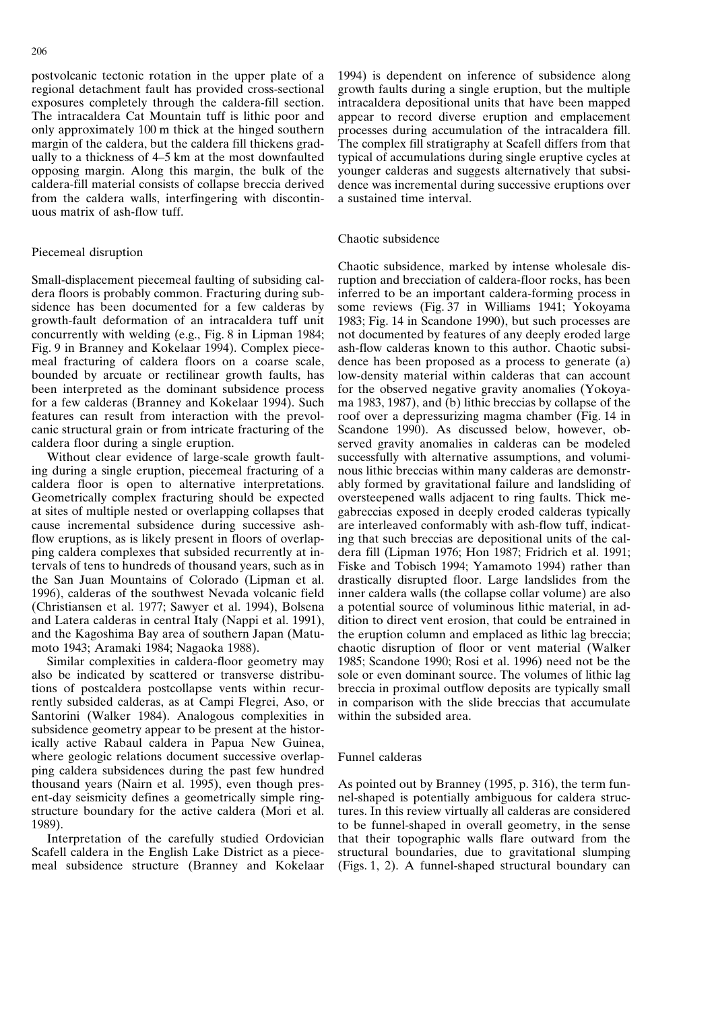postvolcanic tectonic rotation in the upper plate of a regional detachment fault has provided cross-sectional exposures completely through the caldera-fill section. The intracaldera Cat Mountain tuff is lithic poor and only approximately 100 m thick at the hinged southern margin of the caldera, but the caldera fill thickens gradually to a thickness of 4–5 km at the most downfaulted opposing margin. Along this margin, the bulk of the caldera-fill material consists of collapse breccia derived from the caldera walls, interfingering with discontinuous matrix of ash-flow tuff.

## Piecemeal disruption

Small-displacement piecemeal faulting of subsiding caldera floors is probably common. Fracturing during subsidence has been documented for a few calderas by growth-fault deformation of an intracaldera tuff unit concurrently with welding (e.g., Fig. 8 in Lipman 1984; Fig. 9 in Branney and Kokelaar 1994). Complex piecemeal fracturing of caldera floors on a coarse scale, bounded by arcuate or rectilinear growth faults, has been interpreted as the dominant subsidence process for a few calderas (Branney and Kokelaar 1994). Such features can result from interaction with the prevolcanic structural grain or from intricate fracturing of the caldera floor during a single eruption.

Without clear evidence of large-scale growth faulting during a single eruption, piecemeal fracturing of a caldera floor is open to alternative interpretations. Geometrically complex fracturing should be expected at sites of multiple nested or overlapping collapses that cause incremental subsidence during successive ashflow eruptions, as is likely present in floors of overlapping caldera complexes that subsided recurrently at intervals of tens to hundreds of thousand years, such as in the San Juan Mountains of Colorado (Lipman et al. 1996), calderas of the southwest Nevada volcanic field (Christiansen et al. 1977; Sawyer et al. 1994), Bolsena and Latera calderas in central Italy (Nappi et al. 1991), and the Kagoshima Bay area of southern Japan (Matumoto 1943; Aramaki 1984; Nagaoka 1988).

Similar complexities in caldera-floor geometry may also be indicated by scattered or transverse distributions of postcaldera postcollapse vents within recurrently subsided calderas, as at Campi Flegrei, Aso, or Santorini (Walker 1984). Analogous complexities in subsidence geometry appear to be present at the historically active Rabaul caldera in Papua New Guinea, where geologic relations document successive overlapping caldera subsidences during the past few hundred thousand years (Nairn et al. 1995), even though present-day seismicity defines a geometrically simple ringstructure boundary for the active caldera (Mori et al. 1989).

Interpretation of the carefully studied Ordovician Scafell caldera in the English Lake District as a piecemeal subsidence structure (Branney and Kokelaar

1994) is dependent on inference of subsidence along growth faults during a single eruption, but the multiple intracaldera depositional units that have been mapped appear to record diverse eruption and emplacement processes during accumulation of the intracaldera fill. The complex fill stratigraphy at Scafell differs from that typical of accumulations during single eruptive cycles at younger calderas and suggests alternatively that subsidence was incremental during successive eruptions over a sustained time interval.

# Chaotic subsidence

Chaotic subsidence, marked by intense wholesale disruption and brecciation of caldera-floor rocks, has been inferred to be an important caldera-forming process in some reviews (Fig. 37 in Williams 1941; Yokoyama 1983; Fig. 14 in Scandone 1990), but such processes are not documented by features of any deeply eroded large ash-flow calderas known to this author. Chaotic subsidence has been proposed as a process to generate (a) low-density material within calderas that can account for the observed negative gravity anomalies (Yokoyama 1983, 1987), and (b) lithic breccias by collapse of the roof over a depressurizing magma chamber (Fig. 14 in Scandone 1990). As discussed below, however, observed gravity anomalies in calderas can be modeled successfully with alternative assumptions, and voluminous lithic breccias within many calderas are demonstrably formed by gravitational failure and landsliding of oversteepened walls adjacent to ring faults. Thick megabreccias exposed in deeply eroded calderas typically are interleaved conformably with ash-flow tuff, indicating that such breccias are depositional units of the caldera fill (Lipman 1976; Hon 1987; Fridrich et al. 1991; Fiske and Tobisch 1994; Yamamoto 1994) rather than drastically disrupted floor. Large landslides from the inner caldera walls (the collapse collar volume) are also a potential source of voluminous lithic material, in addition to direct vent erosion, that could be entrained in the eruption column and emplaced as lithic lag breccia; chaotic disruption of floor or vent material (Walker 1985; Scandone 1990; Rosi et al. 1996) need not be the sole or even dominant source. The volumes of lithic lag breccia in proximal outflow deposits are typically small in comparison with the slide breccias that accumulate within the subsided area.

## Funnel calderas

As pointed out by Branney (1995, p. 316), the term funnel-shaped is potentially ambiguous for caldera structures. In this review virtually all calderas are considered to be funnel-shaped in overall geometry, in the sense that their topographic walls flare outward from the structural boundaries, due to gravitational slumping (Figs. 1, 2). A funnel-shaped structural boundary can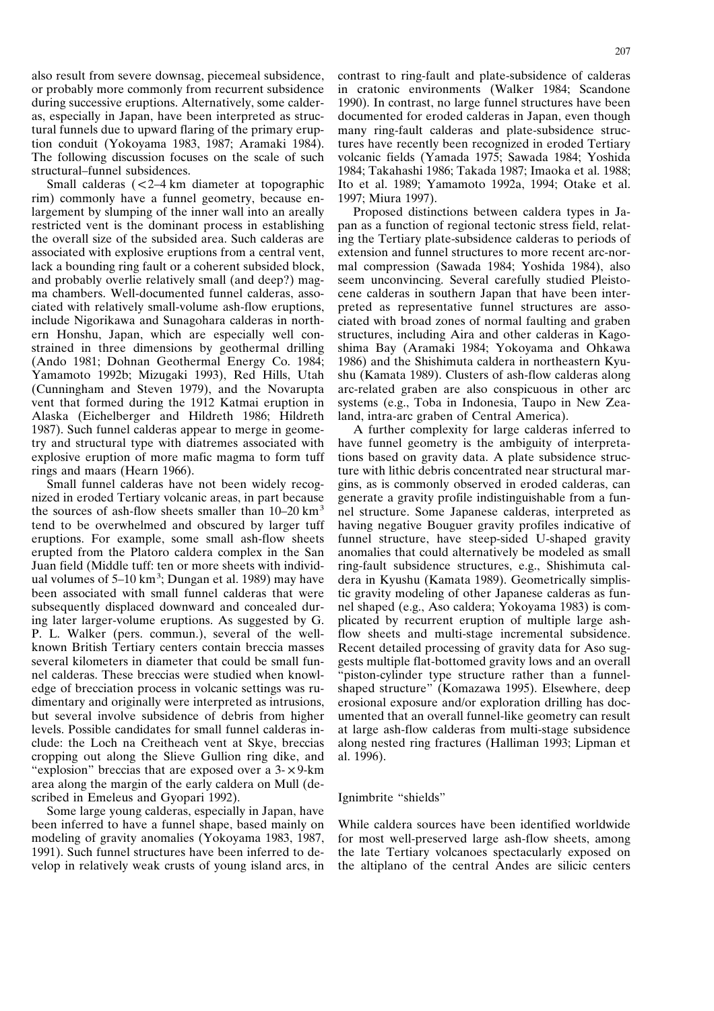also result from severe downsag, piecemeal subsidence, or probably more commonly from recurrent subsidence during successive eruptions. Alternatively, some calderas, especially in Japan, have been interpreted as structural funnels due to upward flaring of the primary eruption conduit (Yokoyama 1983, 1987; Aramaki 1984). The following discussion focuses on the scale of such structural–funnel subsidences.

Small calderas  $\left($  < 2–4 km diameter at topographic rim) commonly have a funnel geometry, because enlargement by slumping of the inner wall into an areally restricted vent is the dominant process in establishing the overall size of the subsided area. Such calderas are associated with explosive eruptions from a central vent, lack a bounding ring fault or a coherent subsided block, and probably overlie relatively small (and deep?) magma chambers. Well-documented funnel calderas, associated with relatively small-volume ash-flow eruptions, include Nigorikawa and Sunagohara calderas in northern Honshu, Japan, which are especially well constrained in three dimensions by geothermal drilling (Ando 1981; Dohnan Geothermal Energy Co. 1984; Yamamoto 1992b; Mizugaki 1993), Red Hills, Utah (Cunningham and Steven 1979), and the Novarupta vent that formed during the 1912 Katmai eruption in Alaska (Eichelberger and Hildreth 1986; Hildreth 1987). Such funnel calderas appear to merge in geometry and structural type with diatremes associated with explosive eruption of more mafic magma to form tuff rings and maars (Hearn 1966).

Small funnel calderas have not been widely recognized in eroded Tertiary volcanic areas, in part because the sources of ash-flow sheets smaller than  $10-20 \text{ km}^3$ tend to be overwhelmed and obscured by larger tuff eruptions. For example, some small ash-flow sheets erupted from the Platoro caldera complex in the San Juan field (Middle tuff: ten or more sheets with individual volumes of 5–10 km<sup>3</sup>; Dungan et al. 1989) may have been associated with small funnel calderas that were subsequently displaced downward and concealed during later larger-volume eruptions. As suggested by G. P. L. Walker (pers. commun.), several of the wellknown British Tertiary centers contain breccia masses several kilometers in diameter that could be small funnel calderas. These breccias were studied when knowledge of brecciation process in volcanic settings was rudimentary and originally were interpreted as intrusions, but several involve subsidence of debris from higher levels. Possible candidates for small funnel calderas include: the Loch na Creitheach vent at Skye, breccias cropping out along the Slieve Gullion ring dike, and "explosion" breccias that are exposed over a  $3-x9$ -km area along the margin of the early caldera on Mull (described in Emeleus and Gyopari 1992).

Some large young calderas, especially in Japan, have been inferred to have a funnel shape, based mainly on modeling of gravity anomalies (Yokoyama 1983, 1987, 1991). Such funnel structures have been inferred to develop in relatively weak crusts of young island arcs, in contrast to ring-fault and plate-subsidence of calderas in cratonic environments (Walker 1984; Scandone 1990). In contrast, no large funnel structures have been documented for eroded calderas in Japan, even though many ring-fault calderas and plate-subsidence structures have recently been recognized in eroded Tertiary volcanic fields (Yamada 1975; Sawada 1984; Yoshida 1984; Takahashi 1986; Takada 1987; Imaoka et al. 1988; Ito et al. 1989; Yamamoto 1992a, 1994; Otake et al. 1997; Miura 1997).

Proposed distinctions between caldera types in Japan as a function of regional tectonic stress field, relating the Tertiary plate-subsidence calderas to periods of extension and funnel structures to more recent arc-normal compression (Sawada 1984; Yoshida 1984), also seem unconvincing. Several carefully studied Pleistocene calderas in southern Japan that have been interpreted as representative funnel structures are associated with broad zones of normal faulting and graben structures, including Aira and other calderas in Kagoshima Bay (Aramaki 1984; Yokoyama and Ohkawa 1986) and the Shishimuta caldera in northeastern Kyushu (Kamata 1989). Clusters of ash-flow calderas along arc-related graben are also conspicuous in other arc systems (e.g., Toba in Indonesia, Taupo in New Zealand, intra-arc graben of Central America).

A further complexity for large calderas inferred to have funnel geometry is the ambiguity of interpretations based on gravity data. A plate subsidence structure with lithic debris concentrated near structural margins, as is commonly observed in eroded calderas, can generate a gravity profile indistinguishable from a funnel structure. Some Japanese calderas, interpreted as having negative Bouguer gravity profiles indicative of funnel structure, have steep-sided U-shaped gravity anomalies that could alternatively be modeled as small ring-fault subsidence structures, e.g., Shishimuta caldera in Kyushu (Kamata 1989). Geometrically simplistic gravity modeling of other Japanese calderas as funnel shaped (e.g., Aso caldera; Yokoyama 1983) is complicated by recurrent eruption of multiple large ashflow sheets and multi-stage incremental subsidence. Recent detailed processing of gravity data for Aso suggests multiple flat-bottomed gravity lows and an overall "piston-cylinder type structure rather than a funnelshaped structure" (Komazawa 1995). Elsewhere, deep erosional exposure and/or exploration drilling has documented that an overall funnel-like geometry can result at large ash-flow calderas from multi-stage subsidence along nested ring fractures (Halliman 1993; Lipman et al. 1996).

## Ignimbrite "shields"

While caldera sources have been identified worldwide for most well-preserved large ash-flow sheets, among the late Tertiary volcanoes spectacularly exposed on the altiplano of the central Andes are silicic centers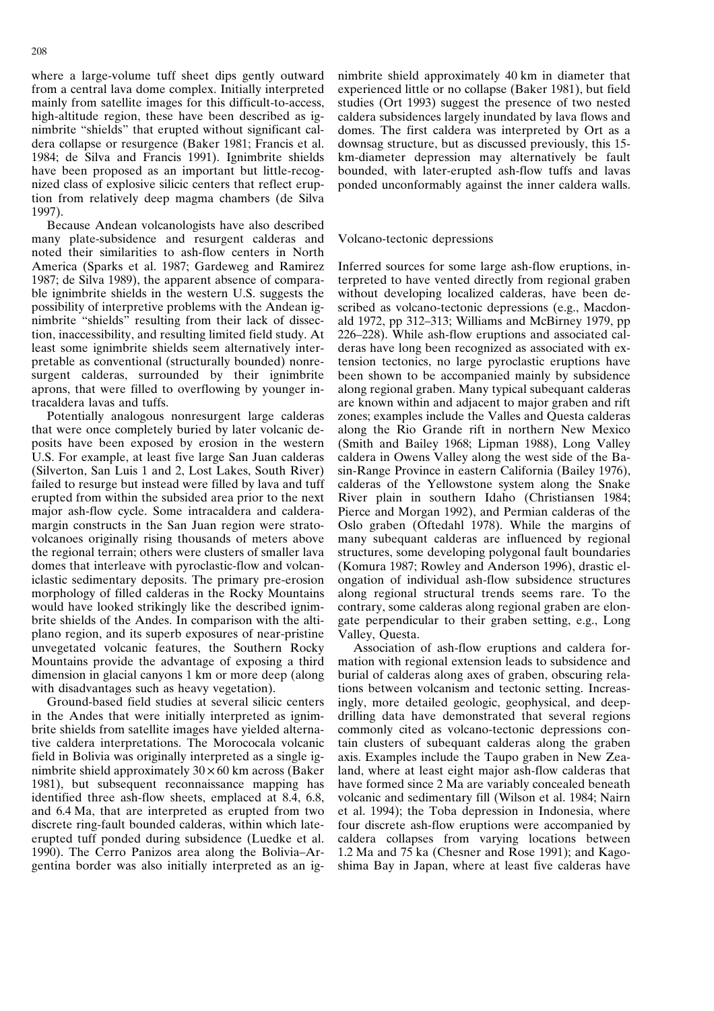where a large-volume tuff sheet dips gently outward from a central lava dome complex. Initially interpreted mainly from satellite images for this difficult-to-access, high-altitude region, these have been described as ignimbrite "shields" that erupted without significant caldera collapse or resurgence (Baker 1981; Francis et al. 1984; de Silva and Francis 1991). Ignimbrite shields have been proposed as an important but little-recognized class of explosive silicic centers that reflect eruption from relatively deep magma chambers (de Silva 1997).

Because Andean volcanologists have also described many plate-subsidence and resurgent calderas and noted their similarities to ash-flow centers in North America (Sparks et al. 1987; Gardeweg and Ramirez 1987; de Silva 1989), the apparent absence of comparable ignimbrite shields in the western U.S. suggests the possibility of interpretive problems with the Andean ignimbrite "shields" resulting from their lack of dissection, inaccessibility, and resulting limited field study. At least some ignimbrite shields seem alternatively interpretable as conventional (structurally bounded) nonresurgent calderas, surrounded by their ignimbrite aprons, that were filled to overflowing by younger intracaldera lavas and tuffs.

Potentially analogous nonresurgent large calderas that were once completely buried by later volcanic deposits have been exposed by erosion in the western U.S. For example, at least five large San Juan calderas (Silverton, San Luis 1 and 2, Lost Lakes, South River) failed to resurge but instead were filled by lava and tuff erupted from within the subsided area prior to the next major ash-flow cycle. Some intracaldera and calderamargin constructs in the San Juan region were stratovolcanoes originally rising thousands of meters above the regional terrain; others were clusters of smaller lava domes that interleave with pyroclastic-flow and volcaniclastic sedimentary deposits. The primary pre-erosion morphology of filled calderas in the Rocky Mountains would have looked strikingly like the described ignimbrite shields of the Andes. In comparison with the altiplano region, and its superb exposures of near-pristine unvegetated volcanic features, the Southern Rocky Mountains provide the advantage of exposing a third dimension in glacial canyons 1 km or more deep (along with disadvantages such as heavy vegetation).

Ground-based field studies at several silicic centers in the Andes that were initially interpreted as ignimbrite shields from satellite images have yielded alternative caldera interpretations. The Morococala volcanic field in Bolivia was originally interpreted as a single ignimbrite shield approximately  $30 \times 60$  km across (Baker 1981), but subsequent reconnaissance mapping has identified three ash-flow sheets, emplaced at 8.4, 6.8, and 6.4 Ma, that are interpreted as erupted from two discrete ring-fault bounded calderas, within which lateerupted tuff ponded during subsidence (Luedke et al. 1990). The Cerro Panizos area along the Bolivia–Argentina border was also initially interpreted as an ignimbrite shield approximately 40 km in diameter that experienced little or no collapse (Baker 1981), but field studies (Ort 1993) suggest the presence of two nested caldera subsidences largely inundated by lava flows and domes. The first caldera was interpreted by Ort as a downsag structure, but as discussed previously, this 15 km-diameter depression may alternatively be fault bounded, with later-erupted ash-flow tuffs and lavas ponded unconformably against the inner caldera walls.

# Volcano-tectonic depressions

Inferred sources for some large ash-flow eruptions, interpreted to have vented directly from regional graben without developing localized calderas, have been described as volcano-tectonic depressions (e.g., Macdonald 1972, pp 312–313; Williams and McBirney 1979, pp 226–228). While ash-flow eruptions and associated calderas have long been recognized as associated with extension tectonics, no large pyroclastic eruptions have been shown to be accompanied mainly by subsidence along regional graben. Many typical subequant calderas are known within and adjacent to major graben and rift zones; examples include the Valles and Questa calderas along the Rio Grande rift in northern New Mexico (Smith and Bailey 1968; Lipman 1988), Long Valley caldera in Owens Valley along the west side of the Basin-Range Province in eastern California (Bailey 1976), calderas of the Yellowstone system along the Snake River plain in southern Idaho (Christiansen 1984; Pierce and Morgan 1992), and Permian calderas of the Oslo graben (Oftedahl 1978). While the margins of many subequant calderas are influenced by regional structures, some developing polygonal fault boundaries (Komura 1987; Rowley and Anderson 1996), drastic elongation of individual ash-flow subsidence structures along regional structural trends seems rare. To the contrary, some calderas along regional graben are elongate perpendicular to their graben setting, e.g., Long Valley, Questa.

Association of ash-flow eruptions and caldera formation with regional extension leads to subsidence and burial of calderas along axes of graben, obscuring relations between volcanism and tectonic setting. Increasingly, more detailed geologic, geophysical, and deepdrilling data have demonstrated that several regions commonly cited as volcano-tectonic depressions contain clusters of subequant calderas along the graben axis. Examples include the Taupo graben in New Zealand, where at least eight major ash-flow calderas that have formed since 2 Ma are variably concealed beneath volcanic and sedimentary fill (Wilson et al. 1984; Nairn et al. 1994); the Toba depression in Indonesia, where four discrete ash-flow eruptions were accompanied by caldera collapses from varying locations between 1.2 Ma and 75 ka (Chesner and Rose 1991); and Kagoshima Bay in Japan, where at least five calderas have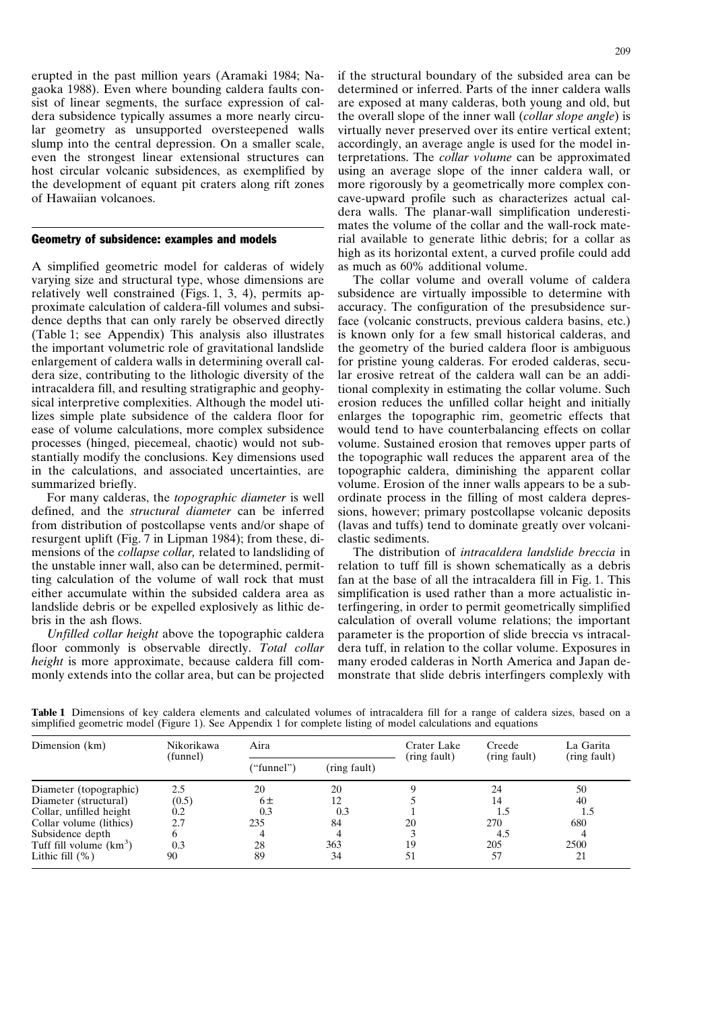erupted in the past million years (Aramaki 1984; Nagaoka 1988). Even where bounding caldera faults consist of linear segments, the surface expression of caldera subsidence typically assumes a more nearly circular geometry as unsupported oversteepened walls slump into the central depression. On a smaller scale, even the strongest linear extensional structures can host circular volcanic subsidences, as exemplified by the development of equant pit craters along rift zones of Hawaiian volcanoes.

## Geometry of subsidence: examples and models

A simplified geometric model for calderas of widely varying size and structural type, whose dimensions are relatively well constrained (Figs. 1, 3, 4), permits approximate calculation of caldera-fill volumes and subsidence depths that can only rarely be observed directly (Table 1; see Appendix) This analysis also illustrates the important volumetric role of gravitational landslide enlargement of caldera walls in determining overall caldera size, contributing to the lithologic diversity of the intracaldera fill, and resulting stratigraphic and geophysical interpretive complexities. Although the model utilizes simple plate subsidence of the caldera floor for ease of volume calculations, more complex subsidence processes (hinged, piecemeal, chaotic) would not substantially modify the conclusions. Key dimensions used in the calculations, and associated uncertainties, are summarized briefly.

For many calderas, the *topographic diameter* is well defined, and the *structural diameter* can be inferred from distribution of postcollapse vents and/or shape of resurgent uplift (Fig. 7 in Lipman 1984); from these, dimensions of the *collapse collar,* related to landsliding of the unstable inner wall, also can be determined, permitting calculation of the volume of wall rock that must either accumulate within the subsided caldera area as landslide debris or be expelled explosively as lithic debris in the ash flows.

*Unfilled collar height* above the topographic caldera floor commonly is observable directly. *Total collar height* is more approximate, because caldera fill commonly extends into the collar area, but can be projected if the structural boundary of the subsided area can be determined or inferred. Parts of the inner caldera walls are exposed at many calderas, both young and old, but the overall slope of the inner wall (*collar slope angle*) is virtually never preserved over its entire vertical extent; accordingly, an average angle is used for the model interpretations. The *collar volume* can be approximated using an average slope of the inner caldera wall, or more rigorously by a geometrically more complex concave-upward profile such as characterizes actual caldera walls. The planar-wall simplification underestimates the volume of the collar and the wall-rock material available to generate lithic debris; for a collar as high as its horizontal extent, a curved profile could add as much as 60% additional volume.

The collar volume and overall volume of caldera subsidence are virtually impossible to determine with accuracy. The configuration of the presubsidence surface (volcanic constructs, previous caldera basins, etc.) is known only for a few small historical calderas, and the geometry of the buried caldera floor is ambiguous for pristine young calderas. For eroded calderas, secular erosive retreat of the caldera wall can be an additional complexity in estimating the collar volume. Such erosion reduces the unfilled collar height and initially enlarges the topographic rim, geometric effects that would tend to have counterbalancing effects on collar volume. Sustained erosion that removes upper parts of the topographic wall reduces the apparent area of the topographic caldera, diminishing the apparent collar volume. Erosion of the inner walls appears to be a subordinate process in the filling of most caldera depressions, however; primary postcollapse volcanic deposits (lavas and tuffs) tend to dominate greatly over volcaniclastic sediments.

The distribution of *intracaldera landslide breccia* in relation to tuff fill is shown schematically as a debris fan at the base of all the intracaldera fill in Fig. 1. This simplification is used rather than a more actualistic interfingering, in order to permit geometrically simplified calculation of overall volume relations; the important parameter is the proportion of slide breccia vs intracaldera tuff, in relation to the collar volume. Exposures in many eroded calderas in North America and Japan demonstrate that slide debris interfingers complexly with

| Dimension (km)            | Nikorikawa | Aira       |              | Crater Lake  | Creede       | La Garita    |
|---------------------------|------------|------------|--------------|--------------|--------------|--------------|
|                           | (funnel)   | ("funnel") | (ring fault) | (ring fault) | (ring fault) | (ring fault) |
| Diameter (topographic)    | 2.5        | 20         | 20           |              | 24           | 50           |
| Diameter (structural)     | (0.5)      | $6\pm$     | 12           |              | 14           | 40           |
| Collar, unfilled height   | 0.2        | 0.3        | 0.3          |              |              | 1.5          |
| Collar volume (lithics)   | 2.7        | 235        | 84           | 20           | 270          | 680          |
| Subsidence depth          | 6          | 4          | 4            |              | 4.5          |              |
| Tuff fill volume $(km^3)$ | 0.3        | 28         | 363          | 19           | 205          | 2500         |
| Lithic fill $(\% )$       | 90         | 89         | 34           | 51           | 57           | 21           |

**Table 1** Dimensions of key caldera elements and calculated volumes of intracaldera fill for a range of caldera sizes, based on a simplified geometric model (Figure 1). See Appendix 1 for complete listing of model calculations and equations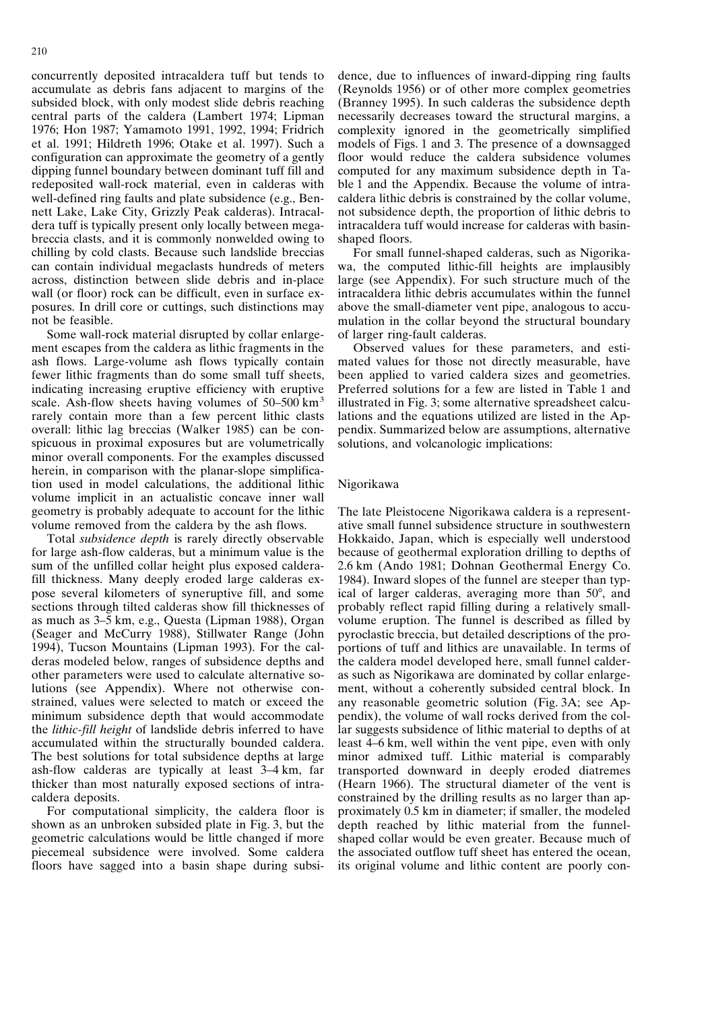concurrently deposited intracaldera tuff but tends to accumulate as debris fans adjacent to margins of the subsided block, with only modest slide debris reaching central parts of the caldera (Lambert 1974; Lipman 1976; Hon 1987; Yamamoto 1991, 1992, 1994; Fridrich et al. 1991; Hildreth 1996; Otake et al. 1997). Such a configuration can approximate the geometry of a gently dipping funnel boundary between dominant tuff fill and redeposited wall-rock material, even in calderas with well-defined ring faults and plate subsidence (e.g., Bennett Lake, Lake City, Grizzly Peak calderas). Intracaldera tuff is typically present only locally between megabreccia clasts, and it is commonly nonwelded owing to chilling by cold clasts. Because such landslide breccias can contain individual megaclasts hundreds of meters across, distinction between slide debris and in-place wall (or floor) rock can be difficult, even in surface exposures. In drill core or cuttings, such distinctions may not be feasible.

Some wall-rock material disrupted by collar enlargement escapes from the caldera as lithic fragments in the ash flows. Large-volume ash flows typically contain fewer lithic fragments than do some small tuff sheets, indicating increasing eruptive efficiency with eruptive scale. Ash-flow sheets having volumes of  $50-500 \text{ km}^3$ rarely contain more than a few percent lithic clasts overall: lithic lag breccias (Walker 1985) can be conspicuous in proximal exposures but are volumetrically minor overall components. For the examples discussed herein, in comparison with the planar-slope simplification used in model calculations, the additional lithic volume implicit in an actualistic concave inner wall geometry is probably adequate to account for the lithic volume removed from the caldera by the ash flows.

Total *subsidence depth* is rarely directly observable for large ash-flow calderas, but a minimum value is the sum of the unfilled collar height plus exposed calderafill thickness. Many deeply eroded large calderas expose several kilometers of syneruptive fill, and some sections through tilted calderas show fill thicknesses of as much as 3–5 km, e.g., Questa (Lipman 1988), Organ (Seager and McCurry 1988), Stillwater Range (John 1994), Tucson Mountains (Lipman 1993). For the calderas modeled below, ranges of subsidence depths and other parameters were used to calculate alternative solutions (see Appendix). Where not otherwise constrained, values were selected to match or exceed the minimum subsidence depth that would accommodate the *lithic-fill height* of landslide debris inferred to have accumulated within the structurally bounded caldera. The best solutions for total subsidence depths at large ash-flow calderas are typically at least 3–4 km, far thicker than most naturally exposed sections of intracaldera deposits.

For computational simplicity, the caldera floor is shown as an unbroken subsided plate in Fig. 3, but the geometric calculations would be little changed if more piecemeal subsidence were involved. Some caldera floors have sagged into a basin shape during subsidence, due to influences of inward-dipping ring faults (Reynolds 1956) or of other more complex geometries (Branney 1995). In such calderas the subsidence depth necessarily decreases toward the structural margins, a complexity ignored in the geometrically simplified models of Figs. 1 and 3. The presence of a downsagged floor would reduce the caldera subsidence volumes computed for any maximum subsidence depth in Table 1 and the Appendix. Because the volume of intracaldera lithic debris is constrained by the collar volume, not subsidence depth, the proportion of lithic debris to intracaldera tuff would increase for calderas with basinshaped floors.

For small funnel-shaped calderas, such as Nigorikawa, the computed lithic-fill heights are implausibly large (see Appendix). For such structure much of the intracaldera lithic debris accumulates within the funnel above the small-diameter vent pipe, analogous to accumulation in the collar beyond the structural boundary of larger ring-fault calderas.

Observed values for these parameters, and estimated values for those not directly measurable, have been applied to varied caldera sizes and geometries. Preferred solutions for a few are listed in Table 1 and illustrated in Fig. 3; some alternative spreadsheet calculations and the equations utilized are listed in the Appendix. Summarized below are assumptions, alternative solutions, and volcanologic implications:

## Nigorikawa

The late Pleistocene Nigorikawa caldera is a representative small funnel subsidence structure in southwestern Hokkaido, Japan, which is especially well understood because of geothermal exploration drilling to depths of 2.6 km (Ando 1981; Dohnan Geothermal Energy Co. 1984). Inward slopes of the funnel are steeper than typical of larger calderas, averaging more than  $50^{\circ}$ , and probably reflect rapid filling during a relatively smallvolume eruption. The funnel is described as filled by pyroclastic breccia, but detailed descriptions of the proportions of tuff and lithics are unavailable. In terms of the caldera model developed here, small funnel calderas such as Nigorikawa are dominated by collar enlargement, without a coherently subsided central block. In any reasonable geometric solution (Fig. 3A; see Appendix), the volume of wall rocks derived from the collar suggests subsidence of lithic material to depths of at least 4–6 km, well within the vent pipe, even with only minor admixed tuff. Lithic material is comparably transported downward in deeply eroded diatremes (Hearn 1966). The structural diameter of the vent is constrained by the drilling results as no larger than approximately 0.5 km in diameter; if smaller, the modeled depth reached by lithic material from the funnelshaped collar would be even greater. Because much of the associated outflow tuff sheet has entered the ocean, its original volume and lithic content are poorly con-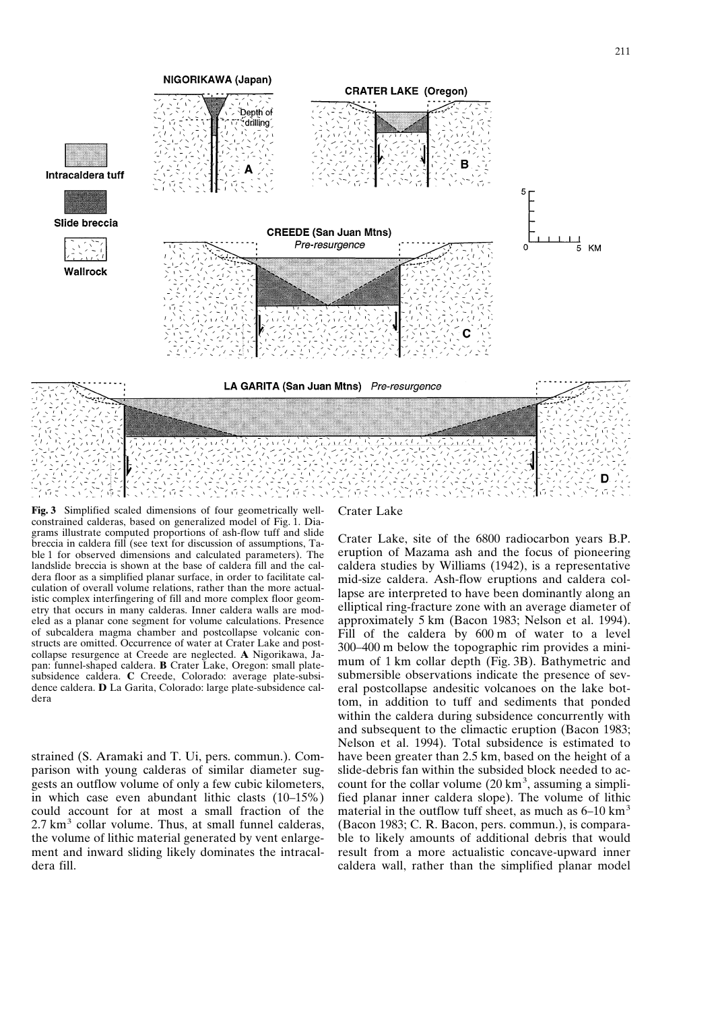

**Fig. 3** Simplified scaled dimensions of four geometrically wellconstrained calderas, based on generalized model of Fig. 1. Diagrams illustrate computed proportions of ash-flow tuff and slide breccia in caldera fill (see text for discussion of assumptions, Table 1 for observed dimensions and calculated parameters). The landslide breccia is shown at the base of caldera fill and the caldera floor as a simplified planar surface, in order to facilitate calculation of overall volume relations, rather than the more actualistic complex interfingering of fill and more complex floor geometry that occurs in many calderas. Inner caldera walls are modeled as a planar cone segment for volume calculations. Presence of subcaldera magma chamber and postcollapse volcanic constructs are omitted. Occurrence of water at Crater Lake and postcollapse resurgence at Creede are neglected. **A** Nigorikawa, Japan: funnel-shaped caldera. **B** Crater Lake, Oregon: small platesubsidence caldera. **C** Creede, Colorado: average plate-subsidence caldera. **D** La Garita, Colorado: large plate-subsidence caldera

strained (S. Aramaki and T. Ui, pers. commun.). Comparison with young calderas of similar diameter suggests an outflow volume of only a few cubic kilometers, in which case even abundant lithic clasts (10–15%) could account for at most a small fraction of the  $2.7 \text{ km}^3$  collar volume. Thus, at small funnel calderas, the volume of lithic material generated by vent enlargement and inward sliding likely dominates the intracaldera fill.

## Crater Lake

Crater Lake, site of the 6800 radiocarbon years B.P. eruption of Mazama ash and the focus of pioneering caldera studies by Williams (1942), is a representative mid-size caldera. Ash-flow eruptions and caldera collapse are interpreted to have been dominantly along an elliptical ring-fracture zone with an average diameter of approximately 5 km (Bacon 1983; Nelson et al. 1994). Fill of the caldera by 600 m of water to a level 300–400 m below the topographic rim provides a minimum of 1 km collar depth (Fig. 3B). Bathymetric and submersible observations indicate the presence of several postcollapse andesitic volcanoes on the lake bottom, in addition to tuff and sediments that ponded within the caldera during subsidence concurrently with and subsequent to the climactic eruption (Bacon 1983; Nelson et al. 1994). Total subsidence is estimated to have been greater than 2.5 km, based on the height of a slide-debris fan within the subsided block needed to account for the collar volume  $(20 \text{ km}^3, \text{ assuming a simpli-}$ fied planar inner caldera slope). The volume of lithic material in the outflow tuff sheet, as much as  $6-10 \text{ km}^3$ (Bacon 1983; C. R. Bacon, pers. commun.), is comparable to likely amounts of additional debris that would result from a more actualistic concave-upward inner caldera wall, rather than the simplified planar model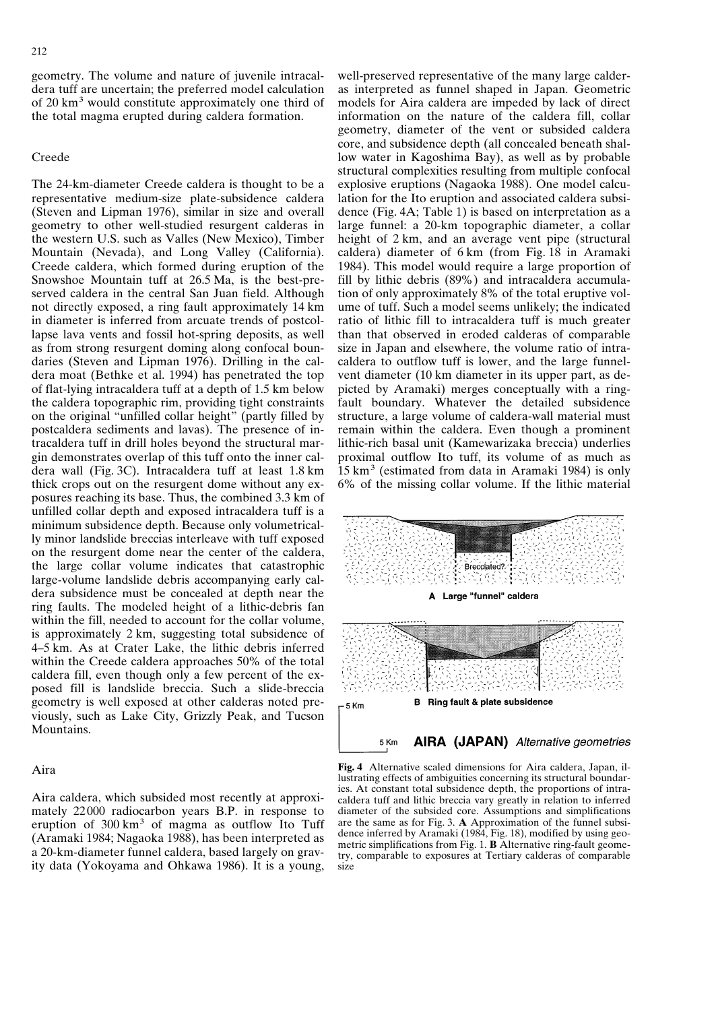geometry. The volume and nature of juvenile intracaldera tuff are uncertain; the preferred model calculation of 20 km3 would constitute approximately one third of the total magma erupted during caldera formation.

## Creede

The 24-km-diameter Creede caldera is thought to be a representative medium-size plate-subsidence caldera (Steven and Lipman 1976), similar in size and overall geometry to other well-studied resurgent calderas in the western U.S. such as Valles (New Mexico), Timber Mountain (Nevada), and Long Valley (California). Creede caldera, which formed during eruption of the Snowshoe Mountain tuff at 26.5 Ma, is the best-preserved caldera in the central San Juan field. Although not directly exposed, a ring fault approximately 14 km in diameter is inferred from arcuate trends of postcollapse lava vents and fossil hot-spring deposits, as well as from strong resurgent doming along confocal boundaries (Steven and Lipman 1976). Drilling in the caldera moat (Bethke et al. 1994) has penetrated the top of flat-lying intracaldera tuff at a depth of 1.5 km below the caldera topographic rim, providing tight constraints on the original "unfilled collar height" (partly filled by postcaldera sediments and lavas). The presence of intracaldera tuff in drill holes beyond the structural margin demonstrates overlap of this tuff onto the inner caldera wall (Fig. 3C). Intracaldera tuff at least 1.8 km thick crops out on the resurgent dome without any exposures reaching its base. Thus, the combined 3.3 km of unfilled collar depth and exposed intracaldera tuff is a minimum subsidence depth. Because only volumetrically minor landslide breccias interleave with tuff exposed on the resurgent dome near the center of the caldera, the large collar volume indicates that catastrophic large-volume landslide debris accompanying early caldera subsidence must be concealed at depth near the ring faults. The modeled height of a lithic-debris fan within the fill, needed to account for the collar volume, is approximately 2 km, suggesting total subsidence of 4–5 km. As at Crater Lake, the lithic debris inferred within the Creede caldera approaches 50% of the total caldera fill, even though only a few percent of the exposed fill is landslide breccia. Such a slide-breccia geometry is well exposed at other calderas noted previously, such as Lake City, Grizzly Peak, and Tucson Mountains.

## Aira

Aira caldera, which subsided most recently at approximately 22000 radiocarbon years B.P. in response to eruption of  $300 \text{ km}^3$  of magma as outflow Ito Tuff (Aramaki 1984; Nagaoka 1988), has been interpreted as a 20-km-diameter funnel caldera, based largely on gravity data (Yokoyama and Ohkawa 1986). It is a young,

well-preserved representative of the many large calderas interpreted as funnel shaped in Japan. Geometric models for Aira caldera are impeded by lack of direct information on the nature of the caldera fill, collar geometry, diameter of the vent or subsided caldera core, and subsidence depth (all concealed beneath shallow water in Kagoshima Bay), as well as by probable structural complexities resulting from multiple confocal explosive eruptions (Nagaoka 1988). One model calculation for the Ito eruption and associated caldera subsidence (Fig. 4A; Table 1) is based on interpretation as a large funnel: a 20-km topographic diameter, a collar height of 2 km, and an average vent pipe (structural caldera) diameter of 6 km (from Fig. 18 in Aramaki 1984). This model would require a large proportion of fill by lithic debris (89%) and intracaldera accumulation of only approximately 8% of the total eruptive volume of tuff. Such a model seems unlikely; the indicated ratio of lithic fill to intracaldera tuff is much greater than that observed in eroded calderas of comparable size in Japan and elsewhere, the volume ratio of intracaldera to outflow tuff is lower, and the large funnelvent diameter (10 km diameter in its upper part, as depicted by Aramaki) merges conceptually with a ringfault boundary. Whatever the detailed subsidence structure, a large volume of caldera-wall material must remain within the caldera. Even though a prominent lithic-rich basal unit (Kamewarizaka breccia) underlies proximal outflow Ito tuff, its volume of as much as  $15 \text{ km}^3$  (estimated from data in Aramaki 1984) is only 6% of the missing collar volume. If the lithic material



**Fig. 4** Alternative scaled dimensions for Aira caldera, Japan, illustrating effects of ambiguities concerning its structural boundaries. At constant total subsidence depth, the proportions of intracaldera tuff and lithic breccia vary greatly in relation to inferred diameter of the subsided core. Assumptions and simplifications are the same as for Fig. 3. **A** Approximation of the funnel subsidence inferred by Aramaki (1984, Fig. 18), modified by using geometric simplifications from Fig. 1. **B** Alternative ring-fault geometry, comparable to exposures at Tertiary calderas of comparable size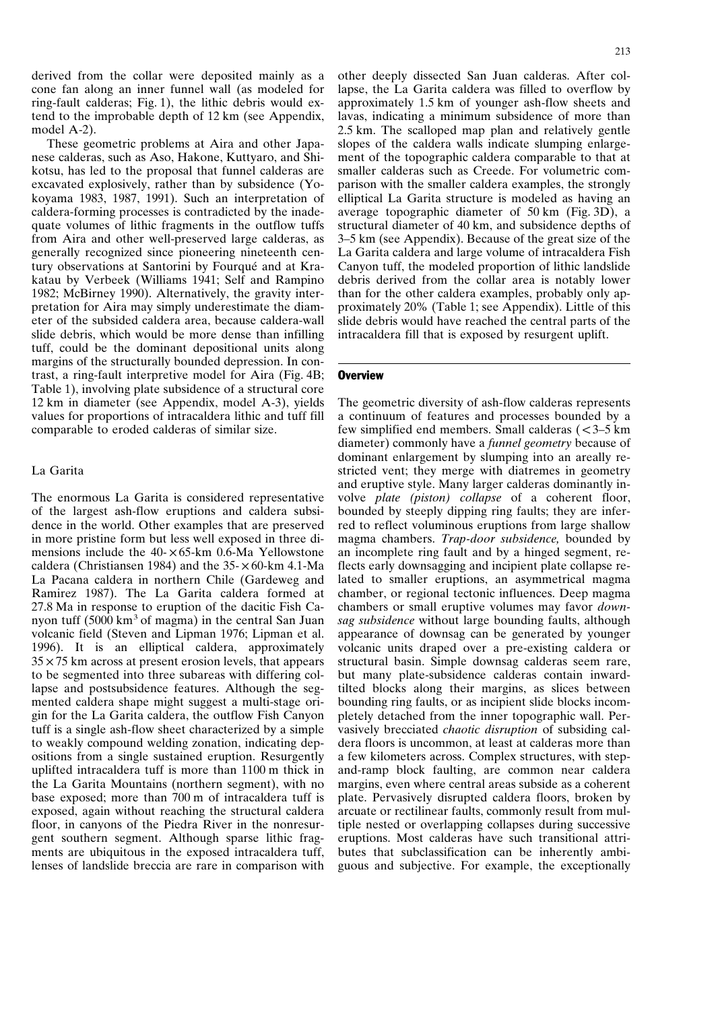derived from the collar were deposited mainly as a cone fan along an inner funnel wall (as modeled for ring-fault calderas; Fig. 1), the lithic debris would extend to the improbable depth of 12 km (see Appendix, model A-2).

These geometric problems at Aira and other Japanese calderas, such as Aso, Hakone, Kuttyaro, and Shikotsu, has led to the proposal that funnel calderas are excavated explosively, rather than by subsidence (Yokoyama 1983, 1987, 1991). Such an interpretation of caldera-forming processes is contradicted by the inadequate volumes of lithic fragments in the outflow tuffs from Aira and other well-preserved large calderas, as generally recognized since pioneering nineteenth century observations at Santorini by Fourqué and at Krakatau by Verbeek (Williams 1941; Self and Rampino 1982; McBirney 1990). Alternatively, the gravity interpretation for Aira may simply underestimate the diameter of the subsided caldera area, because caldera-wall slide debris, which would be more dense than infilling tuff, could be the dominant depositional units along margins of the structurally bounded depression. In contrast, a ring-fault interpretive model for Aira (Fig. 4B; Table 1), involving plate subsidence of a structural core 12 km in diameter (see Appendix, model A-3), yields values for proportions of intracaldera lithic and tuff fill comparable to eroded calderas of similar size.

## La Garita

The enormous La Garita is considered representative of the largest ash-flow eruptions and caldera subsidence in the world. Other examples that are preserved in more pristine form but less well exposed in three dimensions include the  $40 - \times 65$ -km 0.6-Ma Yellowstone caldera (Christiansen 1984) and the  $35 - \times 60$ -km 4.1-Ma La Pacana caldera in northern Chile (Gardeweg and Ramirez 1987). The La Garita caldera formed at 27.8 Ma in response to eruption of the dacitic Fish Canyon tuff  $(5000 \text{ km}^3 \text{ of } \text{magna})$  in the central San Juan volcanic field (Steven and Lipman 1976; Lipman et al. 1996). It is an elliptical caldera, approximately  $35 \times 75$  km across at present erosion levels, that appears to be segmented into three subareas with differing collapse and postsubsidence features. Although the segmented caldera shape might suggest a multi-stage origin for the La Garita caldera, the outflow Fish Canyon tuff is a single ash-flow sheet characterized by a simple to weakly compound welding zonation, indicating depositions from a single sustained eruption. Resurgently uplifted intracaldera tuff is more than 1100 m thick in the La Garita Mountains (northern segment), with no base exposed; more than 700 m of intracaldera tuff is exposed, again without reaching the structural caldera floor, in canyons of the Piedra River in the nonresurgent southern segment. Although sparse lithic fragments are ubiquitous in the exposed intracaldera tuff, lenses of landslide breccia are rare in comparison with

other deeply dissected San Juan calderas. After collapse, the La Garita caldera was filled to overflow by approximately 1.5 km of younger ash-flow sheets and lavas, indicating a minimum subsidence of more than 2.5 km. The scalloped map plan and relatively gentle slopes of the caldera walls indicate slumping enlargement of the topographic caldera comparable to that at smaller calderas such as Creede. For volumetric comparison with the smaller caldera examples, the strongly elliptical La Garita structure is modeled as having an average topographic diameter of 50 km (Fig. 3D), a structural diameter of 40 km, and subsidence depths of 3–5 km (see Appendix). Because of the great size of the La Garita caldera and large volume of intracaldera Fish Canyon tuff, the modeled proportion of lithic landslide debris derived from the collar area is notably lower than for the other caldera examples, probably only approximately 20% (Table 1; see Appendix). Little of this slide debris would have reached the central parts of the intracaldera fill that is exposed by resurgent uplift.

# **Overview**

The geometric diversity of ash-flow calderas represents a continuum of features and processes bounded by a few simplified end members. Small calderas  $\left($  < 3–5 km diameter) commonly have a *funnel geometry* because of dominant enlargement by slumping into an areally restricted vent; they merge with diatremes in geometry and eruptive style. Many larger calderas dominantly involve *plate (piston) collapse* of a coherent floor, bounded by steeply dipping ring faults; they are inferred to reflect voluminous eruptions from large shallow magma chambers. *Trap-door subsidence,* bounded by an incomplete ring fault and by a hinged segment, reflects early downsagging and incipient plate collapse related to smaller eruptions, an asymmetrical magma chamber, or regional tectonic influences. Deep magma chambers or small eruptive volumes may favor *downsag subsidence* without large bounding faults, although appearance of downsag can be generated by younger volcanic units draped over a pre-existing caldera or structural basin. Simple downsag calderas seem rare, but many plate-subsidence calderas contain inwardtilted blocks along their margins, as slices between bounding ring faults, or as incipient slide blocks incompletely detached from the inner topographic wall. Pervasively brecciated *chaotic disruption* of subsiding caldera floors is uncommon, at least at calderas more than a few kilometers across. Complex structures, with stepand-ramp block faulting, are common near caldera margins, even where central areas subside as a coherent plate. Pervasively disrupted caldera floors, broken by arcuate or rectilinear faults, commonly result from multiple nested or overlapping collapses during successive eruptions. Most calderas have such transitional attributes that subclassification can be inherently ambiguous and subjective. For example, the exceptionally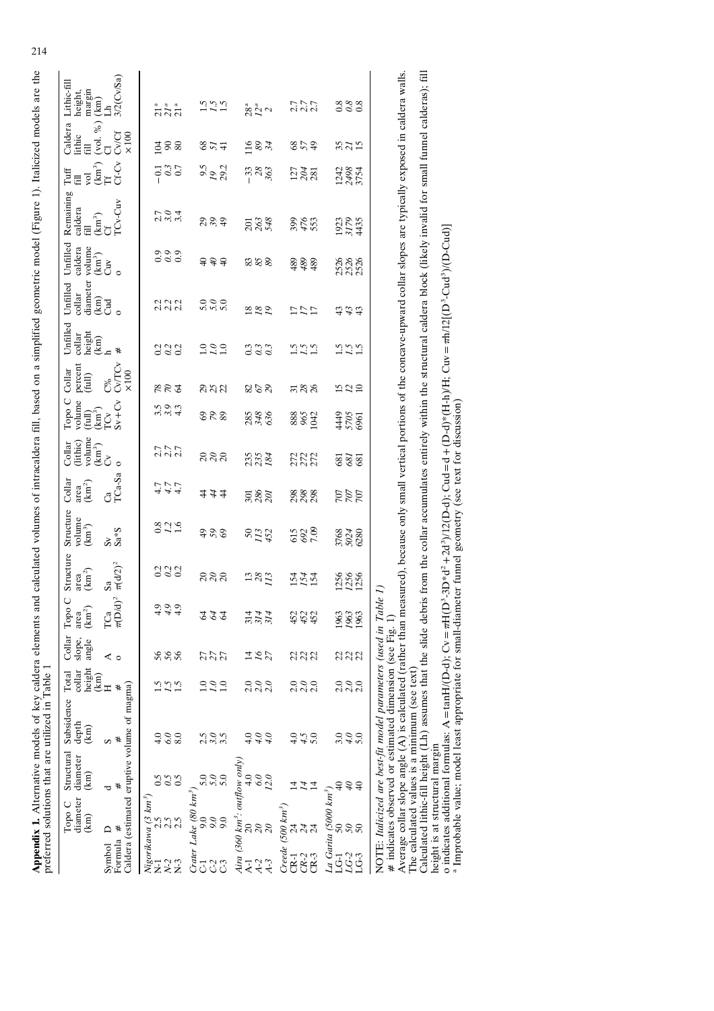| $3/2$ (Cv/Sa)<br>margin<br>height,<br>$\widetilde{E}_{\rm H}$<br>27<br>27<br>27<br>88800<br>15<br>15<br>15<br>$\frac{3}{2}$ $\frac{3}{4}$<br>-<br>22<br>2<br>$(\text{vol. } %)$<br>Caldera<br>lithic<br>fill<br>Cv/Cf<br>$\times100$<br>859<br>$\frac{16}{8}$ %<br>854<br>332<br>$\begin{array}{c} \text{(km}^3) \\ \text{TE} \\ \text{C} \\ \end{array}$<br>0.3<br>9.5<br>29.2<br>$-0.1$<br>$-38$<br>528<br>1248<br>2498<br>3754<br>$\overline{\mathrm{S}}$<br>$\begin{array}{l} \mathrm{caldera} \\ \mathrm{fill} \\ (\mathrm{km}^3) \\ \mathrm{C} \\ \mathrm{TCv-Cuv} \end{array}$<br>2.704<br>ನಿ ನಿ ಕಿ<br>203<br>263<br>325<br>25<br>222<br>223<br>223<br>caldera<br>volume<br>8<br>8<br>8<br>8<br>8<br>$\overline{\text{Cov}}^3$<br>$\stackrel{\frown}{\Rightarrow} \stackrel{\frown}{\Rightarrow} \stackrel{\frown}{\Rightarrow}$<br>222<br>\$\$\$<br>2526<br>2526<br>diameter<br>collar<br>$\widehat{\mathbb{E}}$<br>222<br>222<br>000<br>000<br>288<br>$\frac{17}{21}$<br>おおお<br>$\begin{array}{c} {\rm collar}\\ {\rm height}\\ {\rm (km)} \end{array}$<br>333<br>333<br>33<br>333<br>125<br>13<br>$\frac{5}{15}$<br>222<br>#<br>$\overline{a}$<br>percent<br>CvTCv<br>$\times100$<br>$(i$ ull)<br>ಲ್ಮಿ<br>882<br>ನಿನ<br>858<br>788<br>522<br>$S_V + C_V$<br>volume<br>3.9<br>3.9.4<br>$\begin{array}{c} \begin{pmatrix} \overline{L} \\ \overline{L} \end{pmatrix}^{\eta} \\ \begin{pmatrix} \overline{L} \\ \overline{L} \end{pmatrix} \\ \overline{L} \end{array}$<br>383<br>288<br>348<br>888<br>965<br>45<br>25<br>45<br>volume<br>(km <sup>3</sup> )<br>Cv<br>27<br>27<br>27<br>ສສສ<br>235<br>235<br>184<br>222<br>222<br>88<br>88<br>$\circ$<br>Ca<br>TCa-Sa<br>(km <sup>2</sup> )<br>ユムユ<br>area<br>ままま<br>192<br>192<br>888<br>585<br>286<br>volume<br>( $km^3$ )<br>824<br>1.6<br>$S_{\rm as}$<br>Sa*S<br>288<br>$\frac{58}{29}$<br>52<br>13<br>452<br>3768<br>5024<br>6280<br>$\pi(d/2)^2$<br>333<br>023<br>area<br>(km <sup>2</sup> )<br><u>ននន</u><br>$^{13}_{28}$<br>1256<br>1256<br>224<br>24<br>$\mathbf{s}_\mathrm{a}$<br>$\pi (D/d)^2$<br>$\ddot{4}$ $\ddot{4}$ $\ddot{4}$<br>(km <sup>2</sup> )<br>222<br>224<br>244<br>452<br>452<br>1963<br>1963<br>area<br>TCa<br>1963<br>slope,<br>angle<br><b>ಜನಿ</b> ಜ<br>27<br>27<br><b>482</b><br><b>222</b><br><b>222</b><br>$\triangleleft$ 0<br>height<br>collar<br>$(\overline{\mathbf{H}}_{\mathbf{H}})$<br>0<br>0<br>0<br>0<br>0<br>0<br>0<br>0<br>0<br>0<br>0<br>0<br>12<br>12<br>13<br>$\frac{1}{2}$<br>a<br>0<br>0<br>0<br>0<br>0<br>Caldera (estimated eruptive volume of magma)<br>$\ast$<br>depth<br>(km)<br>4.0<br>$6.0$<br>8.0<br>25<br>25<br>25<br>4.0<br>4.0<br>$4.5$<br>5.0<br>3.0<br>5.0<br>$\frac{0}{4}$<br>$\frac{1}{4}$<br>$\frac{0}{4}$<br>#<br>S<br>diameter<br>Aira (360 km <sup>3</sup> : outflow only)<br>(km)<br>$\frac{0.5}{0.5}$<br>5.0<br>6.0<br>5.0<br>$\frac{1}{4}$<br>12.0<br>$\mathfrak{B}$<br>$\frac{1}{2}$<br>$\Theta$<br>14<br>$\overline{14}$<br>#<br>₫<br>ರ<br>La Garita $(5000 \ km^3)$<br>Crater Lake (80 km <sup>3</sup> )<br>diameter<br>Nigorikawa (3 km <sup>3</sup> )<br>$(500 \ km^3)$<br>(km)<br>5.5<br>2.5<br>2.5<br>$\partial^{\cdot}\delta$<br>9.0<br>9.0<br>888<br><u>ສ</u><br>$\frac{24}{5}$<br>$50\,$<br>#<br>$\Box$ | Appendix 1. Alternative models of key caldera elements and calculated volumes of intracaldera fill, based on a simplified geometric model (Figure 1). Italicized models are the<br>Topo C | Structural | preferred solutions that are utilized in Table 1<br>Subsidence | Total | Collar | $\cup$<br>Торо | Structure | Structure | Collar | Collar   | Topo C | $_{\rm Collar}$ | Unfilled | Unfilled | Unfilled | Remaining | Tuff | Lithic-fil |
|------------------------------------------------------------------------------------------------------------------------------------------------------------------------------------------------------------------------------------------------------------------------------------------------------------------------------------------------------------------------------------------------------------------------------------------------------------------------------------------------------------------------------------------------------------------------------------------------------------------------------------------------------------------------------------------------------------------------------------------------------------------------------------------------------------------------------------------------------------------------------------------------------------------------------------------------------------------------------------------------------------------------------------------------------------------------------------------------------------------------------------------------------------------------------------------------------------------------------------------------------------------------------------------------------------------------------------------------------------------------------------------------------------------------------------------------------------------------------------------------------------------------------------------------------------------------------------------------------------------------------------------------------------------------------------------------------------------------------------------------------------------------------------------------------------------------------------------------------------------------------------------------------------------------------------------------------------------------------------------------------------------------------------------------------------------------------------------------------------------------------------------------------------------------------------------------------------------------------------------------------------------------------------------------------------------------------------------------------------------------------------------------------------------------------------------------------------------------------------------------------------------------------------------------------------------------------------------------------------------------------------------------------------------------------------------------------------------------------------------------------------------------------------------------------------------------------------------------------------------------------------------------------------------------------------------------------------------------------------------------------------------------------------------------------------------------------------------------------------------------------------------------------------------------------------------------------------------------------------------------|-------------------------------------------------------------------------------------------------------------------------------------------------------------------------------------------|------------|----------------------------------------------------------------|-------|--------|----------------|-----------|-----------|--------|----------|--------|-----------------|----------|----------|----------|-----------|------|------------|
|                                                                                                                                                                                                                                                                                                                                                                                                                                                                                                                                                                                                                                                                                                                                                                                                                                                                                                                                                                                                                                                                                                                                                                                                                                                                                                                                                                                                                                                                                                                                                                                                                                                                                                                                                                                                                                                                                                                                                                                                                                                                                                                                                                                                                                                                                                                                                                                                                                                                                                                                                                                                                                                                                                                                                                                                                                                                                                                                                                                                                                                                                                                                                                                                                                                |                                                                                                                                                                                           |            |                                                                |       |        |                |           |           |        | (lithic) |        |                 |          |          |          |           |      |            |
|                                                                                                                                                                                                                                                                                                                                                                                                                                                                                                                                                                                                                                                                                                                                                                                                                                                                                                                                                                                                                                                                                                                                                                                                                                                                                                                                                                                                                                                                                                                                                                                                                                                                                                                                                                                                                                                                                                                                                                                                                                                                                                                                                                                                                                                                                                                                                                                                                                                                                                                                                                                                                                                                                                                                                                                                                                                                                                                                                                                                                                                                                                                                                                                                                                                |                                                                                                                                                                                           |            |                                                                |       |        |                |           |           |        |          |        |                 |          |          |          |           |      |            |
|                                                                                                                                                                                                                                                                                                                                                                                                                                                                                                                                                                                                                                                                                                                                                                                                                                                                                                                                                                                                                                                                                                                                                                                                                                                                                                                                                                                                                                                                                                                                                                                                                                                                                                                                                                                                                                                                                                                                                                                                                                                                                                                                                                                                                                                                                                                                                                                                                                                                                                                                                                                                                                                                                                                                                                                                                                                                                                                                                                                                                                                                                                                                                                                                                                                |                                                                                                                                                                                           |            |                                                                |       |        |                |           |           |        |          |        |                 |          |          |          |           |      |            |
|                                                                                                                                                                                                                                                                                                                                                                                                                                                                                                                                                                                                                                                                                                                                                                                                                                                                                                                                                                                                                                                                                                                                                                                                                                                                                                                                                                                                                                                                                                                                                                                                                                                                                                                                                                                                                                                                                                                                                                                                                                                                                                                                                                                                                                                                                                                                                                                                                                                                                                                                                                                                                                                                                                                                                                                                                                                                                                                                                                                                                                                                                                                                                                                                                                                |                                                                                                                                                                                           |            |                                                                |       |        |                |           |           |        |          |        |                 |          |          |          |           |      |            |
|                                                                                                                                                                                                                                                                                                                                                                                                                                                                                                                                                                                                                                                                                                                                                                                                                                                                                                                                                                                                                                                                                                                                                                                                                                                                                                                                                                                                                                                                                                                                                                                                                                                                                                                                                                                                                                                                                                                                                                                                                                                                                                                                                                                                                                                                                                                                                                                                                                                                                                                                                                                                                                                                                                                                                                                                                                                                                                                                                                                                                                                                                                                                                                                                                                                |                                                                                                                                                                                           |            |                                                                |       |        |                |           |           |        |          |        |                 |          |          |          |           |      |            |
|                                                                                                                                                                                                                                                                                                                                                                                                                                                                                                                                                                                                                                                                                                                                                                                                                                                                                                                                                                                                                                                                                                                                                                                                                                                                                                                                                                                                                                                                                                                                                                                                                                                                                                                                                                                                                                                                                                                                                                                                                                                                                                                                                                                                                                                                                                                                                                                                                                                                                                                                                                                                                                                                                                                                                                                                                                                                                                                                                                                                                                                                                                                                                                                                                                                |                                                                                                                                                                                           |            |                                                                |       |        |                |           |           |        |          |        |                 |          |          |          |           |      |            |
|                                                                                                                                                                                                                                                                                                                                                                                                                                                                                                                                                                                                                                                                                                                                                                                                                                                                                                                                                                                                                                                                                                                                                                                                                                                                                                                                                                                                                                                                                                                                                                                                                                                                                                                                                                                                                                                                                                                                                                                                                                                                                                                                                                                                                                                                                                                                                                                                                                                                                                                                                                                                                                                                                                                                                                                                                                                                                                                                                                                                                                                                                                                                                                                                                                                |                                                                                                                                                                                           |            |                                                                |       |        |                |           |           |        |          |        |                 |          |          |          |           |      |            |
|                                                                                                                                                                                                                                                                                                                                                                                                                                                                                                                                                                                                                                                                                                                                                                                                                                                                                                                                                                                                                                                                                                                                                                                                                                                                                                                                                                                                                                                                                                                                                                                                                                                                                                                                                                                                                                                                                                                                                                                                                                                                                                                                                                                                                                                                                                                                                                                                                                                                                                                                                                                                                                                                                                                                                                                                                                                                                                                                                                                                                                                                                                                                                                                                                                                |                                                                                                                                                                                           |            |                                                                |       |        |                |           |           |        |          |        |                 |          |          |          |           |      |            |
|                                                                                                                                                                                                                                                                                                                                                                                                                                                                                                                                                                                                                                                                                                                                                                                                                                                                                                                                                                                                                                                                                                                                                                                                                                                                                                                                                                                                                                                                                                                                                                                                                                                                                                                                                                                                                                                                                                                                                                                                                                                                                                                                                                                                                                                                                                                                                                                                                                                                                                                                                                                                                                                                                                                                                                                                                                                                                                                                                                                                                                                                                                                                                                                                                                                |                                                                                                                                                                                           |            |                                                                |       |        |                |           |           |        |          |        |                 |          |          |          |           |      |            |

Average collar slope angle (A) is calculated (rather than measured), because only small vertical portions of the concave-upward collar slopes are typically exposed in caldera walls. The calculated values is a minimum (see text)

Average collar slope angle (A) is calculated (rather than measured), because only small vertical portions of the concave-upward collar slopes are typically exposed in caldera walls.<br>The calculated values is a minimum (see Calculated lithic-fill height (Lh) assumes that the slide debris from the collar accumulates entirely within the structural caldera block (likely invalid for small funnel calderas); fill height is at structural margin

o indicates additional formulas: A =tanH/(D-d); Cv =  $\pi$ H(CD<sup>3</sup>-3D\*d<sup>2</sup>+2d<sup>3</sup>)/(D-d); Cud = d + (D-d)\*(H-h)/H; Cuv =  $\pi$ h/2[(D<sup>3</sup>-Cud<sup>3</sup>)/(D-Cud]]

a Improbable value; model least appropriate for small-diameter funnel geometry (see text for discussion)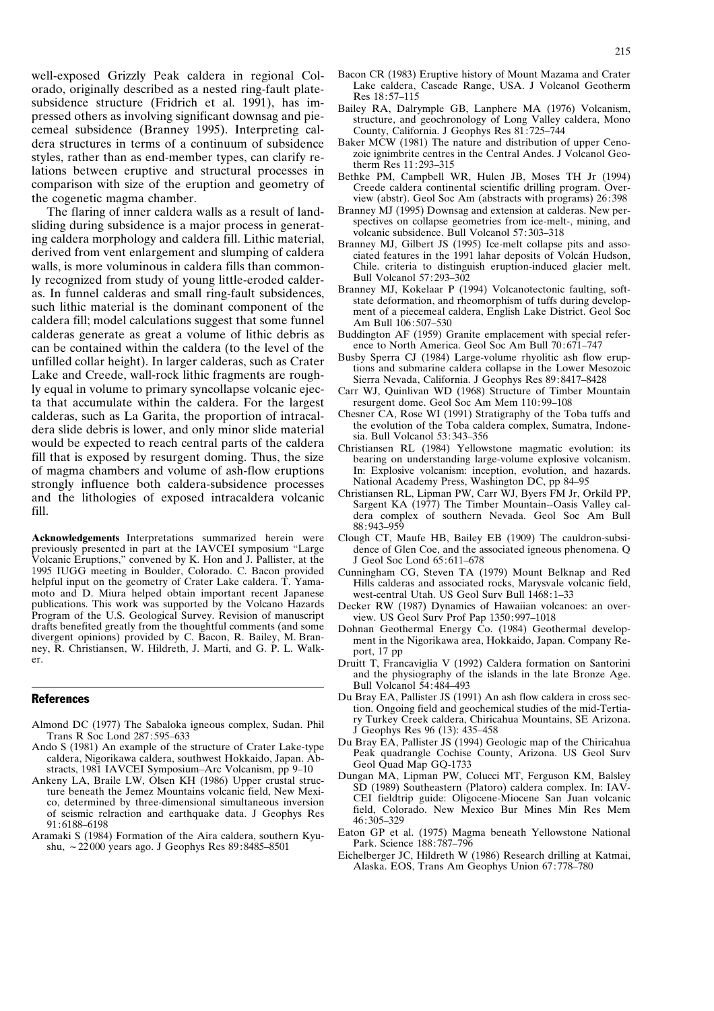well-exposed Grizzly Peak caldera in regional Colorado, originally described as a nested ring-fault platesubsidence structure (Fridrich et al. 1991), has impressed others as involving significant downsag and piecemeal subsidence (Branney 1995). Interpreting caldera structures in terms of a continuum of subsidence styles, rather than as end-member types, can clarify relations between eruptive and structural processes in comparison with size of the eruption and geometry of the cogenetic magma chamber.

The flaring of inner caldera walls as a result of landsliding during subsidence is a major process in generating caldera morphology and caldera fill. Lithic material, derived from vent enlargement and slumping of caldera walls, is more voluminous in caldera fills than commonly recognized from study of young little-eroded calderas. In funnel calderas and small ring-fault subsidences, such lithic material is the dominant component of the caldera fill; model calculations suggest that some funnel calderas generate as great a volume of lithic debris as can be contained within the caldera (to the level of the unfilled collar height). In larger calderas, such as Crater Lake and Creede, wall-rock lithic fragments are roughly equal in volume to primary syncollapse volcanic ejecta that accumulate within the caldera. For the largest calderas, such as La Garita, the proportion of intracaldera slide debris is lower, and only minor slide material would be expected to reach central parts of the caldera fill that is exposed by resurgent doming. Thus, the size of magma chambers and volume of ash-flow eruptions strongly influence both caldera-subsidence processes and the lithologies of exposed intracaldera volcanic fill.

**Acknowledgements** Interpretations summarized herein were previously presented in part at the IAVCEI symposium "Large Volcanic Eruptions," convened by K. Hon and J. Pallister, at the 1995 IUGG meeting in Boulder, Colorado. C. Bacon provided helpful input on the geometry of Crater Lake caldera. T. Yamamoto and D. Miura helped obtain important recent Japanese publications. This work was supported by the Volcano Hazards Program of the U.S. Geological Survey. Revision of manuscript drafts benefited greatly from the thoughtful comments (and some divergent opinions) provided by C. Bacon, R. Bailey, M. Branney, R. Christiansen, W. Hildreth, J. Marti, and G. P. L. Walker.

#### References

- Almond DC (1977) The Sabaloka igneous complex, Sudan. Phil Trans R Soc Lond 287: 595–633
- Ando S (1981) An example of the structure of Crater Lake-type caldera, Nigorikawa caldera, southwest Hokkaido, Japan. Abstracts, 1981 IAVCEI Symposium–Arc Volcanism, pp 9–10
- Ankeny LA, Braile LW, Olsen KH (1986) Upper crustal structure beneath the Jemez Mountains volcanic field, New Mexico, determined by three-dimensional simultaneous inversion of seismic relraction and earthquake data. J Geophys Res 91:6188–6198
- Aramaki S (1984) Formation of the Aira caldera, southern Kyushu,  $\sim$  22000 years ago. J Geophys Res 89:8485–8501
- Bacon CR (1983) Eruptive history of Mount Mazama and Crater Lake caldera, Cascade Range, USA. J Volcanol Geotherm Res 18:57–115
- Bailey RA, Dalrymple GB, Lanphere MA (1976) Volcanism, structure, and geochronology of Long Valley caldera, Mono County, California. J Geophys Res 81 :725–744
- Baker MCW (1981) The nature and distribution of upper Cenozoic ignimbrite centres in the Central Andes. J Volcanol Geotherm Res 11 :293–315
- Bethke PM, Campbell WR, Hulen JB, Moses TH Jr (1994) Creede caldera continental scientific drilling program. Overview (abstr). Geol Soc Am (abstracts with programs) 26: 398
- Branney MJ (1995) Downsag and extension at calderas. New perspectives on collapse geometries from ice-melt-, mining, and volcanic subsidence. Bull Volcanol 57: 303–318
- Branney MJ, Gilbert JS (1995) Ice-melt collapse pits and associated features in the 1991 lahar deposits of Volcán Hudson, Chile. criteria to distinguish eruption-induced glacier melt. Bull Volcanol 57: 293–302
- Branney MJ, Kokelaar P (1994) Volcanotectonic faulting, softstate deformation, and rheomorphism of tuffs during development of a piecemeal caldera, English Lake District. Geol Soc Am Bull 106: 507–530
- Buddington AF (1959) Granite emplacement with special reference to North America. Geol Soc Am Bull 70:671-747
- Busby Sperra CJ (1984) Large-volume rhyolitic ash flow eruptions and submarine caldera collapse in the Lower Mesozoic Sierra Nevada, California. J Geophys Res 89:8417–8428
- Carr WJ, Quinlivan WD (1968) Structure of Timber Mountain resurgent dome. Geol Soc Am Mem 110: 99–108
- Chesner CA, Rose WI (1991) Stratigraphy of the Toba tuffs and the evolution of the Toba caldera complex, Sumatra, Indonesia. Bull Volcanol 53: 343–356
- Christiansen RL (1984) Yellowstone magmatic evolution: its bearing on understanding large-volume explosive volcanism. In: Explosive volcanism: inception, evolution, and hazards. National Academy Press, Washington DC, pp 84–95
- Christiansen RL, Lipman PW, Carr WJ, Byers FM Jr, Orkild PP, Sargent KA (1977) The Timber Mountain--Oasis Valley caldera complex of southern Nevada. Geol Soc Am Bull 88:943–959
- Clough CT, Maufe HB, Bailey EB (1909) The cauldron-subsidence of Glen Coe, and the associated igneous phenomena. Q J Geol Soc Lond 65 :611–678
- Cunningham CG, Steven TA (1979) Mount Belknap and Red Hills calderas and associated rocks, Marysvale volcanic field, west-central Utah. US Geol Surv Bull 1468:1-33
- Decker RW (1987) Dynamics of Hawaiian volcanoes: an overview. US Geol Surv Prof Pap 1350: 997–1018
- Dohnan Geothermal Energy Co. (1984) Geothermal development in the Nigorikawa area, Hokkaido, Japan. Company Report, 17 pp
- Druitt T, Francaviglia V (1992) Caldera formation on Santorini and the physiography of the islands in the late Bronze Age. Bull Volcanol 54: 484–493
- Du Bray EA, Pallister JS (1991) An ash flow caldera in cross section. Ongoing field and geochemical studies of the mid-Tertiary Turkey Creek caldera, Chiricahua Mountains, SE Arizona. J Geophys Res 96 (13): 435–458
- Du Bray EA, Pallister JS (1994) Geologic map of the Chiricahua Peak quadrangle Cochise County, Arizona. US Geol Surv Geol Quad Map GQ-1733
- Dungan MA, Lipman PW, Colucci MT, Ferguson KM, Balsley SD (1989) Southeastern (Platoro) caldera complex. In: IAV-CEI fieldtrip guide: Oligocene-Miocene San Juan volcanic field, Colorado. New Mexico Bur Mines Min Res Mem 46:305–329
- Eaton GP et al. (1975) Magma beneath Yellowstone National Park. Science 188:787–796
- Eichelberger JC, Hildreth W (1986) Research drilling at Katmai, Alaska. EOS, Trans Am Geophys Union 67 :778–780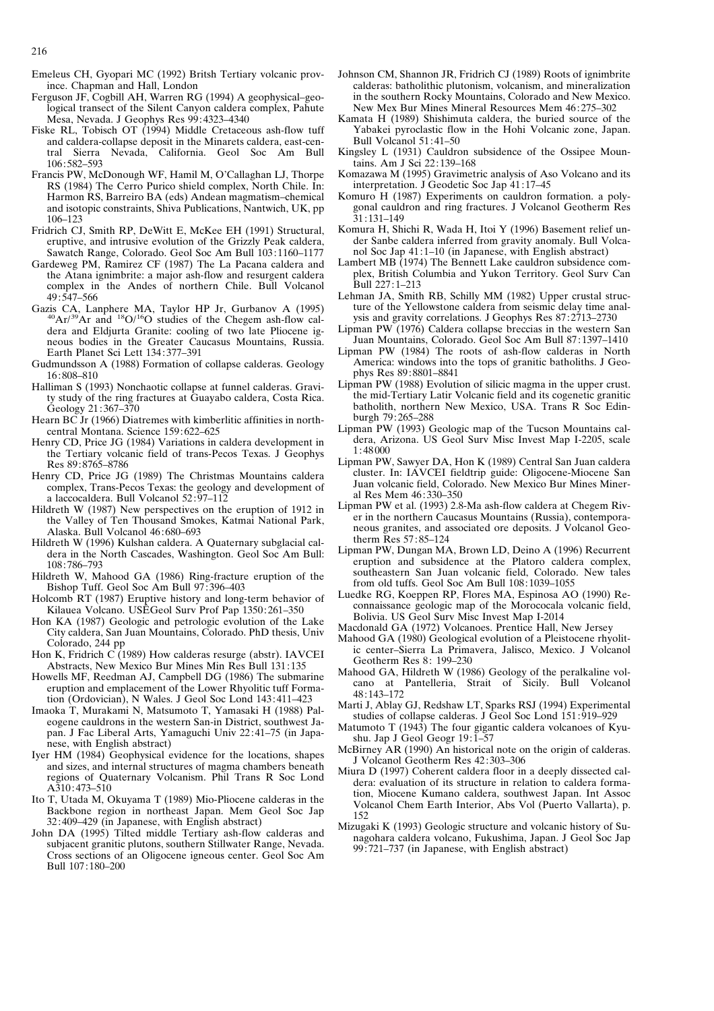- Ferguson JF, Cogbill AH, Warren RG (1994) A geophysical–geological transect of the Silent Canyon caldera complex, Pahute Mesa, Nevada. J Geophys Res 99:4323-4340
- Fiske RL, Tobisch OT (1994) Middle Cretaceous ash-flow tuff and caldera-collapse deposit in the Minarets caldera, east-central Sierra Nevada, California. Geol Soc Am Bull 106:582–593
- Francis PW, McDonough WF, Hamil M, O'Callaghan LJ, Thorpe RS (1984) The Cerro Purico shield complex, North Chile. In: Harmon RS, Barreiro BA (eds) Andean magmatism–chemical and isotopic constraints, Shiva Publications, Nantwich, UK, pp 106–123
- Fridrich CJ, Smith RP, DeWitt E, McKee EH (1991) Structural, eruptive, and intrusive evolution of the Grizzly Peak caldera, Sawatch Range, Colorado. Geol Soc Am Bull 103 :1160–1177
- Gardeweg PM, Ramirez CF (1987) The La Pacana caldera and the Atana ignimbrite: a major ash-flow and resurgent caldera complex in the Andes of northern Chile. Bull Volcanol 49:547–566
- Gazis CA, Lanphere MA, Taylor HP Jr, Gurbanov A (1995)  $^{40}Ar^{39}Ar$  and  $^{18}O/1^{6}O$  studies of the Chegem ash-flow caldera and Eldjurta Granite: cooling of two late Pliocene igneous bodies in the Greater Caucasus Mountains, Russia. Earth Planet Sci Lett 134: 377–391
- Gudmundsson A (1988) Formation of collapse calderas. Geology 16:808–810
- Halliman S (1993) Nonchaotic collapse at funnel calderas. Gravity study of the ring fractures at Guayabo caldera, Costa Rica. Geology 21:367-370
- Hearn BC Jr (1966) Diatremes with kimberlitic affinities in northcentral Montana. Science 159: 622–625
- Henry CD, Price JG (1984) Variations in caldera development in the Tertiary volcanic field of trans-Pecos Texas. J Geophys Res 89:8765–8786
- Henry CD, Price JG (1989) The Christmas Mountains caldera complex, Trans-Pecos Texas: the geology and development of a laccocaldera. Bull Volcanol 52: 97–112
- Hildreth W (1987) New perspectives on the eruption of 1912 in the Valley of Ten Thousand Smokes, Katmai National Park, Alaska. Bull Volcanol 46: 680–693
- Hildreth W (1996) Kulshan caldera. A Quaternary subglacial caldera in the North Cascades, Washington. Geol Soc Am Bull: 108:786–793
- Hildreth W, Mahood GA (1986) Ring-fracture eruption of the Bishop Tuff. Geol Soc Am Bull 97 :396–403
- Holcomb RT (1987) Eruptive history and long-term behavior of Kilauea Volcano. USÊGeol Surv Prof Pap 1350: 261–350
- Hon KA (1987) Geologic and petrologic evolution of the Lake City caldera, San Juan Mountains, Colorado. PhD thesis, Univ Colorado, 244 pp
- Hon K, Fridrich C (1989) How calderas resurge (abstr). IAVCEI Abstracts, New Mexico Bur Mines Min Res Bull 131: 135
- Howells MF, Reedman AJ, Campbell DG (1986) The submarine eruption and emplacement of the Lower Rhyolitic tuff Formation (Ordovician), N Wales. J Geol Soc Lond 143: 411–423
- Imaoka T, Murakami N, Matsumoto T, Yamasaki H (1988) Paleogene cauldrons in the western San-in District, southwest Japan. J Fac Liberal Arts, Yamaguchi Univ 22:41–75 (in Japanese, with English abstract)
- Iyer HM (1984) Geophysical evidence for the locations, shapes and sizes, and internal structures of magma chambers beneath regions of Quaternary Volcanism. Phil Trans R Soc Lond A310 :473–510
- Ito T, Utada M, Okuyama T (1989) Mio-Pliocene calderas in the Backbone region in northeast Japan. Mem Geol Soc Jap 32:409–429 (in Japanese, with English abstract)
- John DA (1995) Tilted middle Tertiary ash-flow calderas and subjacent granitic plutons, southern Stillwater Range, Nevada. Cross sections of an Oligocene igneous center. Geol Soc Am Bull 107: 180–200
- Johnson CM, Shannon JR, Fridrich CJ (1989) Roots of ignimbrite calderas: batholithic plutonism, volcanism, and mineralization in the southern Rocky Mountains, Colorado and New Mexico. New Mex Bur Mines Mineral Resources Mem 46: 275–302
- Kamata H (1989) Shishimuta caldera, the buried source of the Yabakei pyroclastic flow in the Hohi Volcanic zone, Japan. Bull Volcanol 51: 41–50
- Kingsley L (1931) Cauldron subsidence of the Ossipee Mountains. Am J Sci 22: 139–168
- Komazawa M (1995) Gravimetric analysis of Aso Volcano and its interpretation. J Geodetic Soc Jap 41 :17–45
- Komuro H (1987) Experiments on cauldron formation. a polygonal cauldron and ring fractures. J Volcanol Geotherm Res 31:131–149
- Komura H, Shichi R, Wada H, Itoi Y (1996) Basement relief under Sanbe caldera inferred from gravity anomaly. Bull Volcanol Soc Jap 41:1–10 (in Japanese, with English abstract)
- Lambert MB (1974) The Bennett Lake cauldron subsidence complex, British Columbia and Yukon Territory. Geol Surv Can Bull 227: 1–213
- Lehman JA, Smith RB, Schilly MM (1982) Upper crustal structure of the Yellowstone caldera from seismic delay time analysis and gravity correlations. J Geophys Res 87:2713–2730
- Lipman PW (1976) Caldera collapse breccias in the western San Juan Mountains, Colorado. Geol Soc Am Bull 87: 1397–1410
- Lipman PW (1984) The roots of ash-flow calderas in North America: windows into the tops of granitic batholiths. J Geophys Res 89 :8801–8841
- Lipman PW (1988) Evolution of silicic magma in the upper crust. the mid-Tertiary Latir Volcanic field and its cogenetic granitic batholith, northern New Mexico, USA. Trans R Soc Edinburgh 79:265–288
- Lipman PW (1993) Geologic map of the Tucson Mountains caldera, Arizona. US Geol Surv Misc Invest Map I-2205, scale 1:48 000
- Lipman PW, Sawyer DA, Hon K (1989) Central San Juan caldera cluster. In: IAVCEI fieldtrip guide: Oligocene-Miocene San Juan volcanic field, Colorado. New Mexico Bur Mines Mineral Res Mem 46: 330–350
- Lipman PW et al. (1993) 2.8-Ma ash-flow caldera at Chegem River in the northern Caucasus Mountains (Russia), contemporaneous granites, and associated ore deposits. J Volcanol Geotherm Res 57 :85–124
- Lipman PW, Dungan MA, Brown LD, Deino A (1996) Recurrent eruption and subsidence at the Platoro caldera complex, southeastern San Juan volcanic field, Colorado. New tales from old tuffs. Geol Soc Am Bull 108:1039–1055
- Luedke RG, Koeppen RP, Flores MA, Espinosa AO (1990) Reconnaissance geologic map of the Morococala volcanic field, Bolivia. US Geol Surv Misc Invest Map I-2014
- Macdonald GA (1972) Volcanoes. Prentice Hall, New Jersey
- Mahood GA (1980) Geological evolution of a Pleistocene rhyolitic center–Sierra La Primavera, Jalisco, Mexico. J Volcanol Geotherm Res 8: 199-230
- Mahood GA, Hildreth W (1986) Geology of the peralkaline volcano at Pantelleria, Strait of Sicily. Bull Volcanol 48:143–172
- Marti J, Ablay GJ, Redshaw LT, Sparks RSJ (1994) Experimental studies of collapse calderas. J Geol Soc Lond 151:919-929
- Matumoto T (1943) The four gigantic caldera volcanoes of Kyushu. Jap J Geol Geogr 19:1-57
- McBirney AR (1990) An historical note on the origin of calderas. J Volcanol Geotherm Res 42 :303–306
- Miura D (1997) Coherent caldera floor in a deeply dissected caldera: evaluation of its structure in relation to caldera formation, Miocene Kumano caldera, southwest Japan. Int Assoc Volcanol Chem Earth Interior, Abs Vol (Puerto Vallarta), p. 152
- Mizugaki K (1993) Geologic structure and volcanic history of Sunagohara caldera volcano, Fukushima, Japan. J Geol Soc Jap 99:721–737 (in Japanese, with English abstract)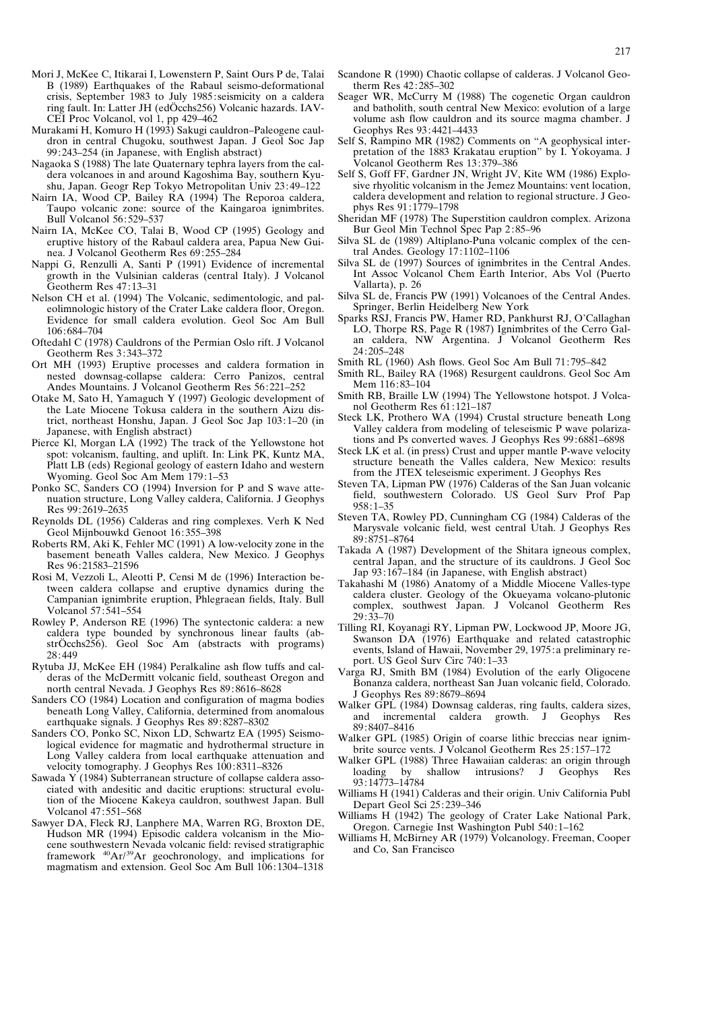- Mori J, McKee C, Itikarai I, Lowenstern P, Saint Ours P de, Talai B (1989) Earthquakes of the Rabaul seismo-deformational crisis, September 1983 to July 1985 :seismicity on a caldera ring fault. In: Latter JH (edÖcchs256) Volcanic hazards. IAV-CEI Proc Volcanol, vol 1, pp 429–462
- Murakami H, Komuro H (1993) Sakugi cauldron–Paleogene cauldron in central Chugoku, southwest Japan. J Geol Soc Jap 99:243–254 (in Japanese, with English abstract)
- Nagaoka S (1988) The late Quaternary tephra layers from the caldera volcanoes in and around Kagoshima Bay, southern Kyushu, Japan. Geogr Rep Tokyo Metropolitan Univ 23: 49–122
- Nairn IA, Wood CP, Bailey RA (1994) The Reporoa caldera, Taupo volcanic zone: source of the Kaingaroa ignimbrites. Bull Volcanol 56: 529–537
- Nairn IA, McKee CO, Talai B, Wood CP (1995) Geology and eruptive history of the Rabaul caldera area, Papua New Guinea. J Volcanol Geotherm Res 69 :255–284
- Nappi G, Renzulli A, Santi P (1991) Evidence of incremental growth in the Vulsinian calderas (central Italy). J Volcanol Geotherm Res 47 :13–31
- Nelson CH et al. (1994) The Volcanic, sedimentologic, and paleolimnologic history of the Crater Lake caldera floor, Oregon. Evidence for small caldera evolution. Geol Soc Am Bull 106:684–704
- Oftedahl C (1978) Cauldrons of the Permian Oslo rift. J Volcanol Geotherm Res 3 :343–372
- Ort MH (1993) Eruptive processes and caldera formation in nested downsag-collapse caldera: Cerro Panizos, central Andes Mountains. J Volcanol Geotherm Res 56 :221–252
- Otake M, Sato H, Yamaguch Y (1997) Geologic development of the Late Miocene Tokusa caldera in the southern Aizu district, northeast Honshu, Japan. J Geol Soc Jap 103: 1–20 (in Japanese, with English abstract)
- Pierce Kl, Morgan LA (1992) The track of the Yellowstone hot spot: volcanism, faulting, and uplift. In: Link PK, Kuntz MA, Platt LB (eds) Regional geology of eastern Idaho and western Wyoming. Geol Soc Am Mem 179:1–53
- Ponko SC, Sanders CO (1994) Inversion for P and S wave attenuation structure, Long Valley caldera, California. J Geophys Res 99:2619–2635
- Reynolds DL (1956) Calderas and ring complexes. Verh K Ned Geol Mijnbouwkd Genoot 16 :355–398
- Roberts RM, Aki K, Fehler MC (1991) A low-velocity zone in the basement beneath Valles caldera, New Mexico. J Geophys Res 96:21583–21596
- Rosi M, Vezzoli L, Aleotti P, Censi M de (1996) Interaction between caldera collapse and eruptive dynamics during the Campanian ignimbrite eruption, Phlegraean fields, Italy. Bull Volcanol 57 :541–554
- Rowley P, Anderson RE (1996) The syntectonic caldera: a new caldera type bounded by synchronous linear faults (abstrÖcchs256). Geol Soc Am (abstracts with programs) 28:449
- Rytuba JJ, McKee EH (1984) Peralkaline ash flow tuffs and calderas of the McDermitt volcanic field, southeast Oregon and north central Nevada. J Geophys Res 89 :8616–8628
- Sanders CO (1984) Location and configuration of magma bodies beneath Long Valley, California, determined from anomalous earthquake signals. J Geophys Res 89: 8287–8302
- Sanders CO, Ponko SC, Nixon LD, Schwartz EA (1995) Seismological evidence for magmatic and hydrothermal structure in Long Valley caldera from local earthquake attenuation and velocity tomography. J Geophys Res  $100:8311-8326$
- Sawada Y (1984) Subterranean structure of collapse caldera associated with andesitic and dacitic eruptions: structural evolution of the Miocene Kakeya cauldron, southwest Japan. Bull Volcanol 47 :551–568
- Sawyer DA, Fleck RJ, Lanphere MA, Warren RG, Broxton DE, Hudson MR (1994) Episodic caldera volcanism in the Miocene southwestern Nevada volcanic field: revised stratigraphic<br>framework <sup>40</sup>Ar/<sup>39</sup>Ar geochronology, and implications for magmatism and extension. Geol Soc Am Bull 106 :1304–1318
- Scandone R (1990) Chaotic collapse of calderas. J Volcanol Geotherm Res 42 :285–302
- Seager WR, McCurry M (1988) The cogenetic Organ cauldron and batholith, south central New Mexico: evolution of a large volume ash flow cauldron and its source magma chamber. J Geophys Res 93 :4421–4433
- Self S, Rampino MR (1982) Comments on "A geophysical interpretation of the 1883 Krakatau eruption" by I. Yokoyama. J Volcanol Geotherm Res 13: 379–386
- Self S, Goff FF, Gardner JN, Wright JV, Kite WM (1986) Explosive rhyolitic volcanism in the Jemez Mountains: vent location, caldera development and relation to regional structure. J Geophys Res 91 :1779–1798
- Sheridan MF (1978) The Superstition cauldron complex. Arizona Bur Geol Min Technol Spec Pap 2:85–96
- Silva SL de (1989) Altiplano-Puna volcanic complex of the central Andes. Geology 17: 1102–1106
- Silva SL de (1997) Sources of ignimbrites in the Central Andes. Int Assoc Volcanol Chem Earth Interior, Abs Vol (Puerto Vallarta), p. 26
- Silva SL de, Francis PW (1991) Volcanoes of the Central Andes. Springer, Berlin Heidelberg New York
- Sparks RSJ, Francis PW, Hamer RD, Pankhurst RJ, O'Callaghan LO, Thorpe RS, Page R (1987) Ignimbrites of the Cerro Galan caldera, NW Argentina. J Volcanol Geotherm Res  $24.205 - 248$
- Smith RL (1960) Ash flows. Geol Soc Am Bull 71: 795–842
- Smith RL, Bailey RA (1968) Resurgent cauldrons. Geol Soc Am Mem 116:83–104
- Smith RB, Braille LW (1994) The Yellowstone hotspot. J Volcanol Geotherm Res 61: 121–187
- Steck LK, Prothero WA (1994) Crustal structure beneath Long Valley caldera from modeling of teleseismic P wave polarizations and Ps converted waves. J Geophys Res 99 :6881–6898
- Steck LK et al. (in press) Crust and upper mantle P-wave velocity structure beneath the Valles caldera, New Mexico: results from the JTEX teleseismic experiment. J Geophys Res
- Steven TA, Lipman PW (1976) Calderas of the San Juan volcanic field, southwestern Colorado. US Geol Surv Prof Pap 958:1–35
- Steven TA, Rowley PD, Cunningham CG (1984) Calderas of the Marysvale volcanic field, west central Utah. J Geophys Res 89:8751–8764
- Takada A (1987) Development of the Shitara igneous complex, central Japan, and the structure of its cauldrons. J Geol Soc Jap 93 :167–184 (in Japanese, with English abstract)
- Takahashi M (1986) Anatomy of a Middle Miocene Valles-type caldera cluster. Geology of the Okueyama volcano-plutonic complex, southwest Japan. J Volcanol Geotherm Res  $29:33 - 70$
- Tilling RI, Koyanagi RY, Lipman PW, Lockwood JP, Moore JG, Swanson DA (1976) Earthquake and related catastrophic events, Island of Hawaii, November 29, 1975 :a preliminary report. US Geol Surv Circ 740:1-33
- Varga RJ, Smith BM (1984) Evolution of the early Oligocene Bonanza caldera, northeast San Juan volcanic field, Colorado. J Geophys Res 89:8679–8694
- Walker GPL (1984) Downsag calderas, ring faults, caldera sizes, and incremental caldera growth. J Geophys Res 89:8407–8416
- Walker GPL (1985) Origin of coarse lithic breccias near ignimbrite source vents. J Volcanol Geotherm Res 25 :157–172
- Walker GPL (1988) Three Hawaiian calderas: an origin through<br>loading by shallow intrusions? J Geophys Res intrusions? J Geophys Res 93:14773–14784
- Williams H (1941) Calderas and their origin. Univ California Publ Depart Geol Sci 25:239–346
- Williams H (1942) The geology of Crater Lake National Park, Oregon. Carnegie Inst Washington Publ 540: 1–162
- Williams H, McBirney AR (1979) Volcanology. Freeman, Cooper and Co, San Francisco